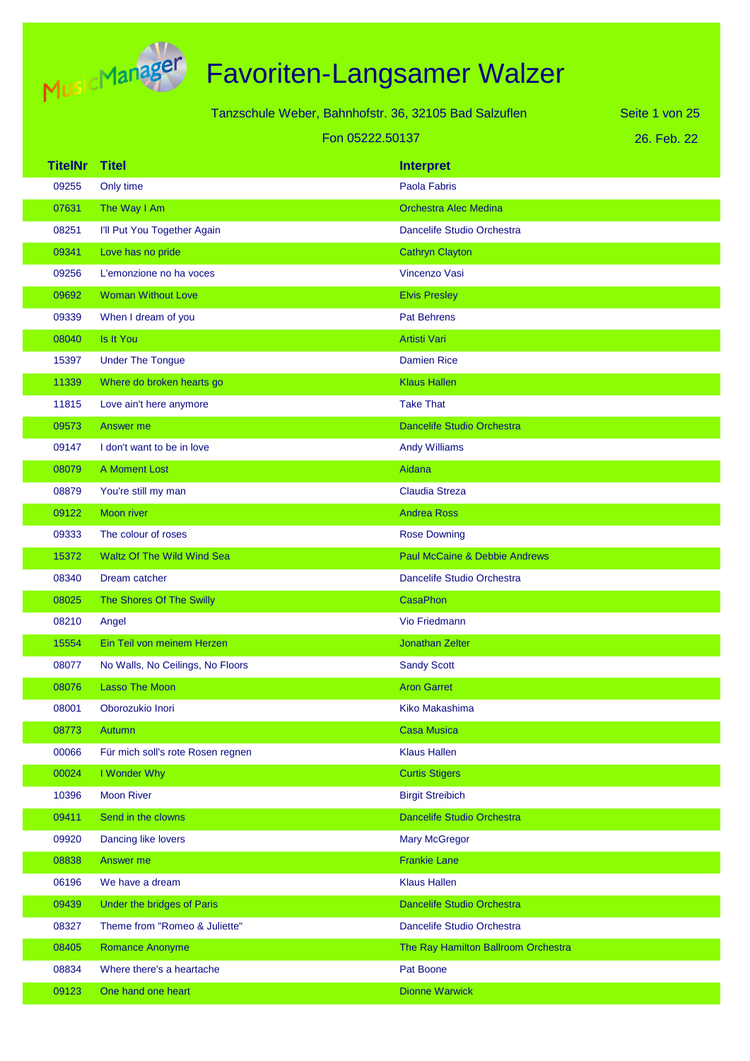

Tanzschule Weber, Bahnhofstr. 36, 32105 Bad Salzuflen Fon 05222.50137

26. Feb. 22 Seite 1 von 25

| <b>TitelNr</b> | <b>Titel</b>                      | <b>Interpret</b>                    |
|----------------|-----------------------------------|-------------------------------------|
| 09255          | Only time                         | Paola Fabris                        |
| 07631          | The Way I Am                      | <b>Orchestra Alec Medina</b>        |
| 08251          | I'll Put You Together Again       | Dancelife Studio Orchestra          |
| 09341          | Love has no pride                 | <b>Cathryn Clayton</b>              |
| 09256          | L'emonzione no ha voces           | Vincenzo Vasi                       |
| 09692          | <b>Woman Without Love</b>         | <b>Elvis Presley</b>                |
| 09339          | When I dream of you               | <b>Pat Behrens</b>                  |
| 08040          | Is It You                         | <b>Artisti Vari</b>                 |
| 15397          | <b>Under The Tongue</b>           | <b>Damien Rice</b>                  |
| 11339          | Where do broken hearts go         | <b>Klaus Hallen</b>                 |
| 11815          | Love ain't here anymore           | <b>Take That</b>                    |
| 09573          | Answer me                         | <b>Dancelife Studio Orchestra</b>   |
| 09147          | I don't want to be in love        | <b>Andy Williams</b>                |
| 08079          | A Moment Lost                     | Aidana                              |
| 08879          | You're still my man               | <b>Claudia Streza</b>               |
| 09122          | <b>Moon river</b>                 | <b>Andrea Ross</b>                  |
| 09333          | The colour of roses               | <b>Rose Downing</b>                 |
| 15372          | Waltz Of The Wild Wind Sea        | Paul McCaine & Debbie Andrews       |
| 08340          | Dream catcher                     | Dancelife Studio Orchestra          |
| 08025          | The Shores Of The Swilly          | <b>CasaPhon</b>                     |
| 08210          | Angel                             | <b>Vio Friedmann</b>                |
| 15554          | Ein Teil von meinem Herzen        | <b>Jonathan Zelter</b>              |
| 08077          | No Walls, No Ceilings, No Floors  | <b>Sandy Scott</b>                  |
| 08076          | <b>Lasso The Moon</b>             | <b>Aron Garret</b>                  |
| 08001          | Oborozukio Inori                  | Kiko Makashima                      |
| 08773          | Autumn                            | <b>Casa Musica</b>                  |
| 00066          | Für mich soll's rote Rosen regnen | <b>Klaus Hallen</b>                 |
| 00024          | I Wonder Why                      | <b>Curtis Stigers</b>               |
| 10396          | <b>Moon River</b>                 | <b>Birgit Streibich</b>             |
| 09411          | Send in the clowns                | Dancelife Studio Orchestra          |
| 09920          | Dancing like lovers               | <b>Mary McGregor</b>                |
| 08838          | Answer me                         | <b>Frankie Lane</b>                 |
| 06196          | We have a dream                   | <b>Klaus Hallen</b>                 |
| 09439          | Under the bridges of Paris        | Dancelife Studio Orchestra          |
| 08327          | Theme from "Romeo & Juliette"     | Dancelife Studio Orchestra          |
| 08405          | Romance Anonyme                   | The Ray Hamilton Ballroom Orchestra |
| 08834          | Where there's a heartache         | Pat Boone                           |
| 09123          | One hand one heart                | <b>Dionne Warwick</b>               |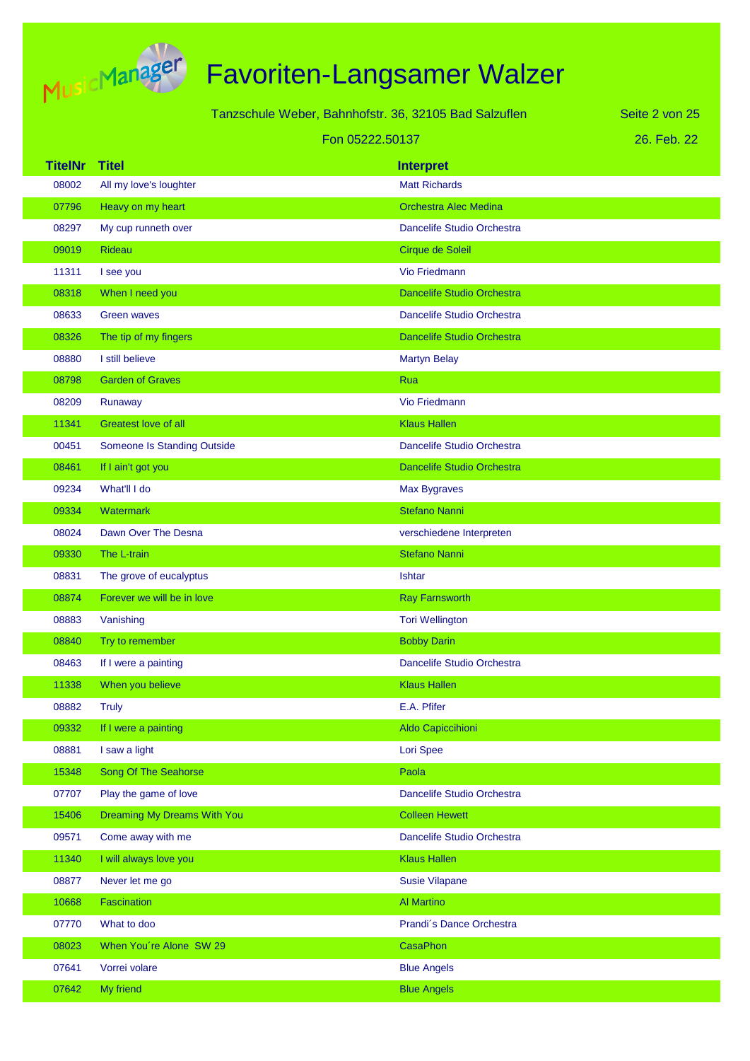

|                |                                    | Tanzschule Weber, Bahnhofstr. 36, 32105 Bad Salzuflen | Seite 2 von 25 |
|----------------|------------------------------------|-------------------------------------------------------|----------------|
|                | Fon 05222.50137                    |                                                       | 26. Feb. 22    |
| <b>TitelNr</b> | <b>Titel</b>                       | <b>Interpret</b>                                      |                |
| 08002          | All my love's loughter             | <b>Matt Richards</b>                                  |                |
| 07796          | Heavy on my heart                  | <b>Orchestra Alec Medina</b>                          |                |
| 08297          | My cup runneth over                | Dancelife Studio Orchestra                            |                |
| 09019          | Rideau                             | Cirque de Soleil                                      |                |
| 11311          | I see you                          | <b>Vio Friedmann</b>                                  |                |
| 08318          | When I need you                    | <b>Dancelife Studio Orchestra</b>                     |                |
| 08633          | <b>Green waves</b>                 | Dancelife Studio Orchestra                            |                |
| 08326          | The tip of my fingers              | <b>Dancelife Studio Orchestra</b>                     |                |
| 08880          | I still believe                    | <b>Martyn Belay</b>                                   |                |
| 08798          | <b>Garden of Graves</b>            | Rua                                                   |                |
| 08209          | Runaway                            | Vio Friedmann                                         |                |
| 11341          | <b>Greatest love of all</b>        | <b>Klaus Hallen</b>                                   |                |
| 00451          | <b>Someone Is Standing Outside</b> | <b>Dancelife Studio Orchestra</b>                     |                |
| 08461          | If I ain't got you                 | <b>Dancelife Studio Orchestra</b>                     |                |
| 09234          | What'll I do                       | Max Bygraves                                          |                |
| 09334          | Watermark                          | <b>Stefano Nanni</b>                                  |                |
| 08024          | Dawn Over The Desna                | verschiedene Interpreten                              |                |
| 09330          | The L-train                        | <b>Stefano Nanni</b>                                  |                |
| 08831          | The grove of eucalyptus            | <b>Ishtar</b>                                         |                |
| 08874          | Forever we will be in love         | <b>Ray Farnsworth</b>                                 |                |
| 08883          | Vanishing                          | <b>Tori Wellington</b>                                |                |
| 08840          | Try to remember                    | <b>Bobby Darin</b>                                    |                |
| 08463          | If I were a painting               | Dancelife Studio Orchestra                            |                |
| 11338          | When you believe                   | <b>Klaus Hallen</b>                                   |                |
| 08882          | <b>Truly</b>                       | E.A. Pfifer                                           |                |
| 09332          | If I were a painting               | Aldo Capiccihioni                                     |                |
| 08881          | I saw a light                      | Lori Spee                                             |                |
| 15348          | Song Of The Seahorse               | Paola                                                 |                |
| 07707          | Play the game of love              | Dancelife Studio Orchestra                            |                |
| 15406          | Dreaming My Dreams With You        | <b>Colleen Hewett</b>                                 |                |
| 09571          | Come away with me                  | Dancelife Studio Orchestra                            |                |
| 11340          | I will always love you             | <b>Klaus Hallen</b>                                   |                |
| 08877          | Never let me go                    | <b>Susie Vilapane</b>                                 |                |
| 10668          | <b>Fascination</b>                 | <b>Al Martino</b>                                     |                |
| 07770          | What to doo                        | Prandi's Dance Orchestra                              |                |
| 08023          | When You're Alone SW 29            | CasaPhon                                              |                |
| 07641          | Vorrei volare                      | <b>Blue Angels</b>                                    |                |
| 07642          | My friend                          | <b>Blue Angels</b>                                    |                |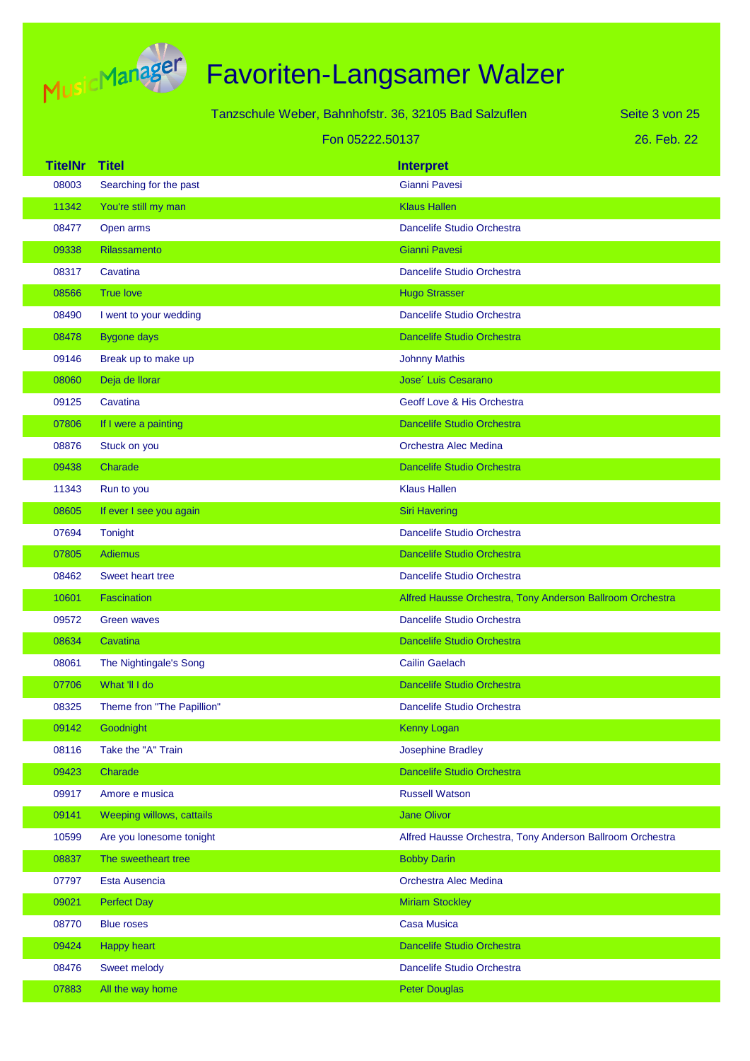

|                |                            | Tanzschule Weber, Bahnhofstr. 36, 32105 Bad Salzuflen | Seite 3 von 25                                            |
|----------------|----------------------------|-------------------------------------------------------|-----------------------------------------------------------|
|                |                            | Fon 05222.50137                                       | 26. Feb. 22                                               |
| <b>TitelNr</b> | <b>Titel</b>               | <b>Interpret</b>                                      |                                                           |
| 08003          | Searching for the past     | Gianni Pavesi                                         |                                                           |
| 11342          | You're still my man        | <b>Klaus Hallen</b>                                   |                                                           |
| 08477          | Open arms                  |                                                       | Dancelife Studio Orchestra                                |
| 09338          | <b>Rilassamento</b>        | Gianni Pavesi                                         |                                                           |
| 08317          | Cavatina                   |                                                       | Dancelife Studio Orchestra                                |
| 08566          | <b>True love</b>           | <b>Hugo Strasser</b>                                  |                                                           |
| 08490          | I went to your wedding     |                                                       | Dancelife Studio Orchestra                                |
| 08478          | <b>Bygone days</b>         |                                                       | <b>Dancelife Studio Orchestra</b>                         |
| 09146          | Break up to make up        | <b>Johnny Mathis</b>                                  |                                                           |
| 08060          | Deja de llorar             | Jose <sup>'</sup> Luis Cesarano                       |                                                           |
| 09125          | Cavatina                   |                                                       | Geoff Love & His Orchestra                                |
| 07806          | If I were a painting       |                                                       | <b>Dancelife Studio Orchestra</b>                         |
| 08876          | Stuck on you               | <b>Orchestra Alec Medina</b>                          |                                                           |
| 09438          | Charade                    |                                                       | <b>Dancelife Studio Orchestra</b>                         |
| 11343          | Run to you                 | <b>Klaus Hallen</b>                                   |                                                           |
| 08605          | If ever I see you again    | <b>Siri Havering</b>                                  |                                                           |
| 07694          | Tonight                    |                                                       | Dancelife Studio Orchestra                                |
| 07805          | <b>Adiemus</b>             |                                                       | <b>Dancelife Studio Orchestra</b>                         |
| 08462          | <b>Sweet heart tree</b>    |                                                       | Dancelife Studio Orchestra                                |
| 10601          | <b>Fascination</b>         |                                                       | Alfred Hausse Orchestra, Tony Anderson Ballroom Orchestra |
| 09572          | <b>Green waves</b>         |                                                       | Dancelife Studio Orchestra                                |
| 08634          | Cavatina                   |                                                       | <b>Dancelife Studio Orchestra</b>                         |
| 08061          | The Nightingale's Song     | <b>Cailin Gaelach</b>                                 |                                                           |
| 07706          | What 'II I do              |                                                       | Dancelife Studio Orchestra                                |
| 08325          | Theme fron "The Papillion" |                                                       | Dancelife Studio Orchestra                                |
| 09142          | Goodnight                  | <b>Kenny Logan</b>                                    |                                                           |
| 08116          | Take the "A" Train         | <b>Josephine Bradley</b>                              |                                                           |
| 09423          | Charade                    |                                                       | <b>Dancelife Studio Orchestra</b>                         |
| 09917          | Amore e musica             | <b>Russell Watson</b>                                 |                                                           |
| 09141          | Weeping willows, cattails  | <b>Jane Olivor</b>                                    |                                                           |
| 10599          | Are you lonesome tonight   |                                                       | Alfred Hausse Orchestra, Tony Anderson Ballroom Orchestra |
| 08837          | The sweetheart tree        | <b>Bobby Darin</b>                                    |                                                           |
| 07797          | Esta Ausencia              | Orchestra Alec Medina                                 |                                                           |
| 09021          | <b>Perfect Day</b>         | <b>Miriam Stockley</b>                                |                                                           |
| 08770          | <b>Blue roses</b>          | <b>Casa Musica</b>                                    |                                                           |
| 09424          | <b>Happy heart</b>         |                                                       | Dancelife Studio Orchestra                                |
| 08476          | Sweet melody               |                                                       | Dancelife Studio Orchestra                                |
| 07883          | All the way home           | <b>Peter Douglas</b>                                  |                                                           |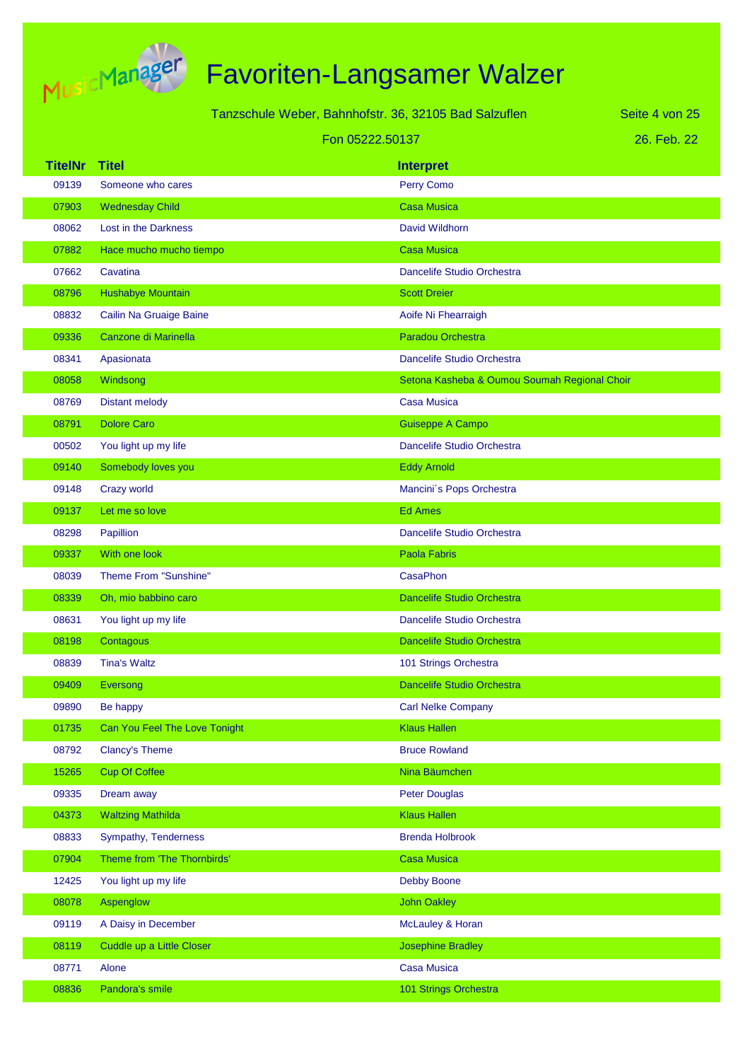

|                |                               | Tanzschule Weber, Bahnhofstr. 36, 32105 Bad Salzuflen |                                              | Seite 4 von 25 |
|----------------|-------------------------------|-------------------------------------------------------|----------------------------------------------|----------------|
|                | Fon 05222.50137               |                                                       | 26. Feb. 22                                  |                |
| <b>TitelNr</b> | <b>Titel</b>                  |                                                       | <b>Interpret</b>                             |                |
| 09139          | Someone who cares             |                                                       | Perry Como                                   |                |
| 07903          | <b>Wednesday Child</b>        |                                                       | <b>Casa Musica</b>                           |                |
| 08062          | Lost in the Darkness          |                                                       | David Wildhorn                               |                |
| 07882          | Hace mucho mucho tiempo       |                                                       | <b>Casa Musica</b>                           |                |
| 07662          | Cavatina                      |                                                       | Dancelife Studio Orchestra                   |                |
| 08796          | Hushabye Mountain             |                                                       | <b>Scott Dreier</b>                          |                |
| 08832          | Cailin Na Gruaige Baine       |                                                       | Aoife Ni Fhearraigh                          |                |
| 09336          | Canzone di Marinella          |                                                       | Paradou Orchestra                            |                |
| 08341          | Apasionata                    |                                                       | Dancelife Studio Orchestra                   |                |
| 08058          | Windsong                      |                                                       | Setona Kasheba & Oumou Soumah Regional Choir |                |
| 08769          | <b>Distant melody</b>         |                                                       | <b>Casa Musica</b>                           |                |
| 08791          | <b>Dolore Caro</b>            |                                                       | <b>Guiseppe A Campo</b>                      |                |
| 00502          | You light up my life          |                                                       | Dancelife Studio Orchestra                   |                |
| 09140          | Somebody loves you            |                                                       | <b>Eddy Arnold</b>                           |                |
| 09148          | Crazy world                   |                                                       | Mancini's Pops Orchestra                     |                |
| 09137          | Let me so love                |                                                       | <b>Ed Ames</b>                               |                |
| 08298          | Papillion                     |                                                       | Dancelife Studio Orchestra                   |                |
| 09337          | With one look                 |                                                       | <b>Paola Fabris</b>                          |                |
| 08039          | Theme From "Sunshine"         |                                                       | <b>CasaPhon</b>                              |                |
| 08339          | Oh, mio babbino caro          |                                                       | <b>Dancelife Studio Orchestra</b>            |                |
| 08631          | You light up my life          |                                                       | Dancelife Studio Orchestra                   |                |
| 08198          | Contagous                     |                                                       | <b>Dancelife Studio Orchestra</b>            |                |
| 08839          | <b>Tina's Waltz</b>           |                                                       | 101 Strings Orchestra                        |                |
| 09409          | Eversong                      |                                                       | Dancelife Studio Orchestra                   |                |
| 09890          | Be happy                      |                                                       | <b>Carl Nelke Company</b>                    |                |
| 01735          | Can You Feel The Love Tonight |                                                       | <b>Klaus Hallen</b>                          |                |
| 08792          | <b>Clancy's Theme</b>         |                                                       | <b>Bruce Rowland</b>                         |                |
| 15265          | <b>Cup Of Coffee</b>          |                                                       | Nina Bäumchen                                |                |
| 09335          | Dream away                    |                                                       | <b>Peter Douglas</b>                         |                |
| 04373          | <b>Waltzing Mathilda</b>      |                                                       | <b>Klaus Hallen</b>                          |                |
| 08833          | Sympathy, Tenderness          |                                                       | <b>Brenda Holbrook</b>                       |                |
| 07904          | Theme from 'The Thornbirds'   |                                                       | <b>Casa Musica</b>                           |                |
| 12425          | You light up my life          |                                                       | <b>Debby Boone</b>                           |                |
| 08078          | Aspenglow                     |                                                       | <b>John Oakley</b>                           |                |
| 09119          | A Daisy in December           |                                                       | McLauley & Horan                             |                |
| 08119          | Cuddle up a Little Closer     |                                                       | <b>Josephine Bradley</b>                     |                |
| 08771          | Alone                         |                                                       | <b>Casa Musica</b>                           |                |
| 08836          | Pandora's smile               |                                                       | 101 Strings Orchestra                        |                |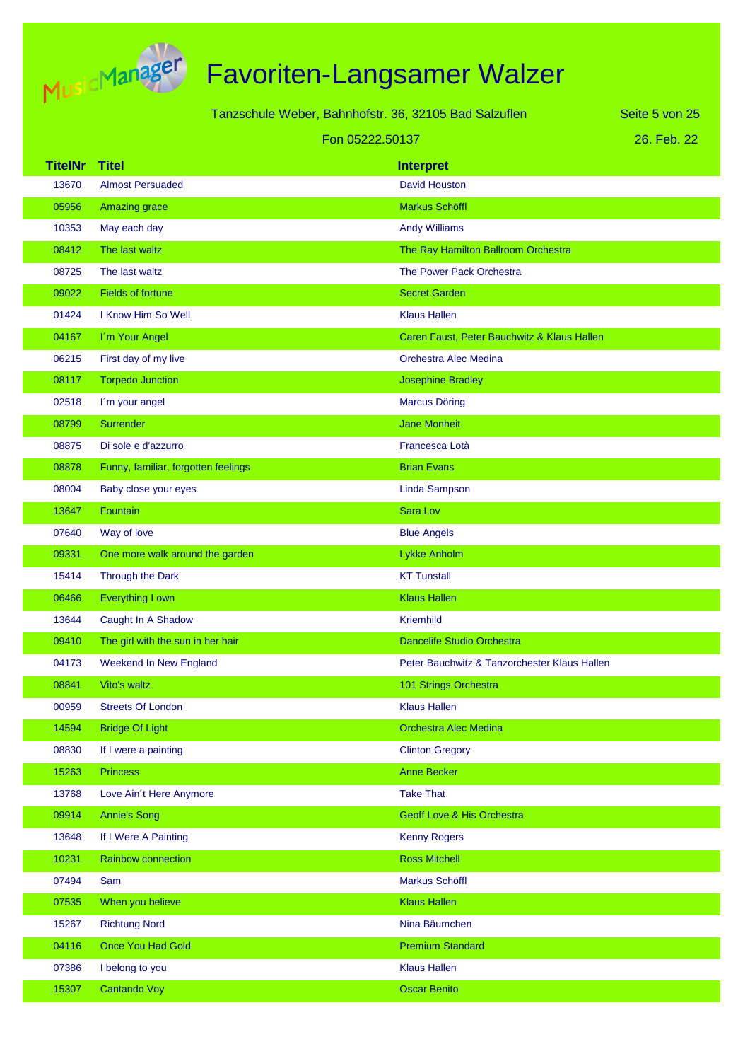

|                |                                     | Tanzschule Weber, Bahnhofstr. 36, 32105 Bad Salzuflen | Seite 5 von 25 |
|----------------|-------------------------------------|-------------------------------------------------------|----------------|
|                |                                     | Fon 05222.50137                                       | 26. Feb. 22    |
| <b>TitelNr</b> | <b>Titel</b>                        | <b>Interpret</b>                                      |                |
| 13670          | <b>Almost Persuaded</b>             | <b>David Houston</b>                                  |                |
| 05956          | <b>Amazing grace</b>                | Markus Schöffl                                        |                |
| 10353          | May each day                        | <b>Andy Williams</b>                                  |                |
| 08412          | The last waltz                      | The Ray Hamilton Ballroom Orchestra                   |                |
| 08725          | The last waltz                      | The Power Pack Orchestra                              |                |
| 09022          | <b>Fields of fortune</b>            | <b>Secret Garden</b>                                  |                |
| 01424          | I Know Him So Well                  | <b>Klaus Hallen</b>                                   |                |
| 04167          | I'm Your Angel                      | Caren Faust, Peter Bauchwitz & Klaus Hallen           |                |
| 06215          | First day of my live                | Orchestra Alec Medina                                 |                |
| 08117          | <b>Torpedo Junction</b>             | <b>Josephine Bradley</b>                              |                |
| 02518          | I'm your angel                      | <b>Marcus Döring</b>                                  |                |
| 08799          | <b>Surrender</b>                    | <b>Jane Monheit</b>                                   |                |
| 08875          | Di sole e d'azzurro                 | Francesca Lotà                                        |                |
| 08878          | Funny, familiar, forgotten feelings | <b>Brian Evans</b>                                    |                |
| 08004          | Baby close your eyes                | <b>Linda Sampson</b>                                  |                |
| 13647          | Fountain                            | Sara Lov                                              |                |
| 07640          | Way of love                         | <b>Blue Angels</b>                                    |                |
| 09331          | One more walk around the garden     | Lykke Anholm                                          |                |
| 15414          | Through the Dark                    | <b>KT Tunstall</b>                                    |                |
| 06466          | Everything I own                    | <b>Klaus Hallen</b>                                   |                |
| 13644          | Caught In A Shadow                  | <b>Kriemhild</b>                                      |                |
| 09410          | The girl with the sun in her hair   | Dancelife Studio Orchestra                            |                |
| 04173          | <b>Weekend In New England</b>       | Peter Bauchwitz & Tanzorchester Klaus Hallen          |                |
| 08841          | Vito's waltz                        | 101 Strings Orchestra                                 |                |
| 00959          | <b>Streets Of London</b>            | <b>Klaus Hallen</b>                                   |                |
| 14594          | <b>Bridge Of Light</b>              | <b>Orchestra Alec Medina</b>                          |                |
| 08830          | If I were a painting                | <b>Clinton Gregory</b>                                |                |
| 15263          | <b>Princess</b>                     | <b>Anne Becker</b>                                    |                |
| 13768          | Love Ain't Here Anymore             | <b>Take That</b>                                      |                |
| 09914          | <b>Annie's Song</b>                 | Geoff Love & His Orchestra                            |                |
| 13648          | If I Were A Painting                | <b>Kenny Rogers</b>                                   |                |
| 10231          | <b>Rainbow connection</b>           | <b>Ross Mitchell</b>                                  |                |
| 07494          | Sam                                 | Markus Schöffl                                        |                |
| 07535          | When you believe                    | <b>Klaus Hallen</b>                                   |                |
| 15267          | <b>Richtung Nord</b>                | Nina Bäumchen                                         |                |
| 04116          | <b>Once You Had Gold</b>            | <b>Premium Standard</b>                               |                |
| 07386          | I belong to you                     | <b>Klaus Hallen</b>                                   |                |
| 15307          | Cantando Voy                        | <b>Oscar Benito</b>                                   |                |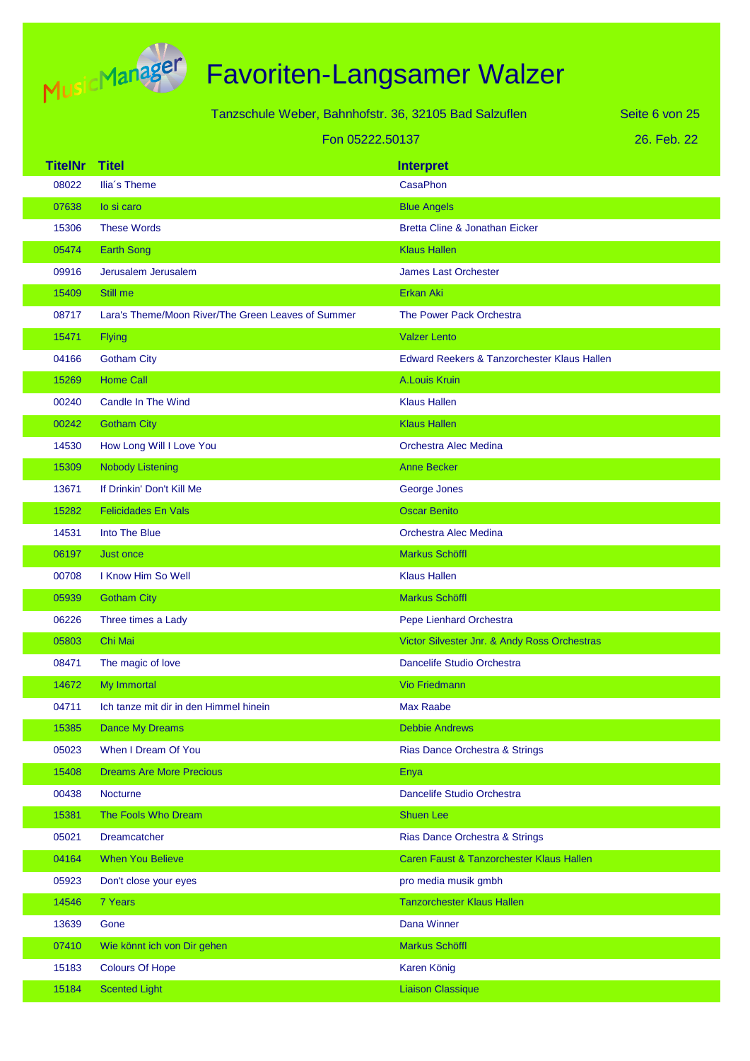

|                | Tanzschule Weber, Bahnhofstr. 36, 32105 Bad Salzuflen |                                              | Seite 6 von 25 |
|----------------|-------------------------------------------------------|----------------------------------------------|----------------|
|                | Fon 05222.50137                                       |                                              | 26. Feb. 22    |
| <b>TitelNr</b> | <b>Titel</b>                                          | <b>Interpret</b>                             |                |
| 08022          | Ilia's Theme                                          | CasaPhon                                     |                |
| 07638          | lo si caro                                            | <b>Blue Angels</b>                           |                |
| 15306          | <b>These Words</b>                                    | <b>Bretta Cline &amp; Jonathan Eicker</b>    |                |
| 05474          | <b>Earth Song</b>                                     | <b>Klaus Hallen</b>                          |                |
| 09916          | Jerusalem Jerusalem                                   | <b>James Last Orchester</b>                  |                |
| 15409          | Still me                                              | Erkan Aki                                    |                |
| 08717          | Lara's Theme/Moon River/The Green Leaves of Summer    | The Power Pack Orchestra                     |                |
| 15471          | <b>Flying</b>                                         | <b>Valzer Lento</b>                          |                |
| 04166          | <b>Gotham City</b>                                    | Edward Reekers & Tanzorchester Klaus Hallen  |                |
| 15269          | <b>Home Call</b>                                      | A.Louis Kruin                                |                |
| 00240          | Candle In The Wind                                    | <b>Klaus Hallen</b>                          |                |
| 00242          | <b>Gotham City</b>                                    | <b>Klaus Hallen</b>                          |                |
| 14530          | How Long Will I Love You                              | Orchestra Alec Medina                        |                |
| 15309          | <b>Nobody Listening</b>                               | <b>Anne Becker</b>                           |                |
| 13671          | If Drinkin' Don't Kill Me                             | George Jones                                 |                |
| 15282          | <b>Felicidades En Vals</b>                            | <b>Oscar Benito</b>                          |                |
| 14531          | Into The Blue                                         | Orchestra Alec Medina                        |                |
| 06197          | <b>Just once</b>                                      | Markus Schöffl                               |                |
| 00708          | I Know Him So Well                                    | <b>Klaus Hallen</b>                          |                |
| 05939          | <b>Gotham City</b>                                    | <b>Markus Schöffl</b>                        |                |
| 06226          | Three times a Lady                                    | Pepe Lienhard Orchestra                      |                |
| 05803          | Chi Mai                                               | Victor Silvester Jnr. & Andy Ross Orchestras |                |
| 08471          | The magic of love                                     | Dancelife Studio Orchestra                   |                |
| 14672          | My Immortal                                           | <b>Vio Friedmann</b>                         |                |
| 04711          | Ich tanze mit dir in den Himmel hinein                | <b>Max Raabe</b>                             |                |
| 15385          | Dance My Dreams                                       | <b>Debbie Andrews</b>                        |                |
| 05023          | When I Dream Of You                                   | Rias Dance Orchestra & Strings               |                |
| 15408          | <b>Dreams Are More Precious</b>                       | Enya                                         |                |
| 00438          | <b>Nocturne</b>                                       | Dancelife Studio Orchestra                   |                |
| 15381          | The Fools Who Dream                                   | <b>Shuen Lee</b>                             |                |
| 05021          | <b>Dreamcatcher</b>                                   | Rias Dance Orchestra & Strings               |                |
| 04164          | <b>When You Believe</b>                               | Caren Faust & Tanzorchester Klaus Hallen     |                |
| 05923          | Don't close your eyes                                 | pro media musik gmbh                         |                |
| 14546          | 7 Years                                               | <b>Tanzorchester Klaus Hallen</b>            |                |
| 13639          | Gone                                                  | Dana Winner                                  |                |
| 07410          | Wie könnt ich von Dir gehen                           | Markus Schöffl                               |                |
| 15183          | <b>Colours Of Hope</b>                                | Karen König                                  |                |
| 15184          | <b>Scented Light</b>                                  | <b>Liaison Classique</b>                     |                |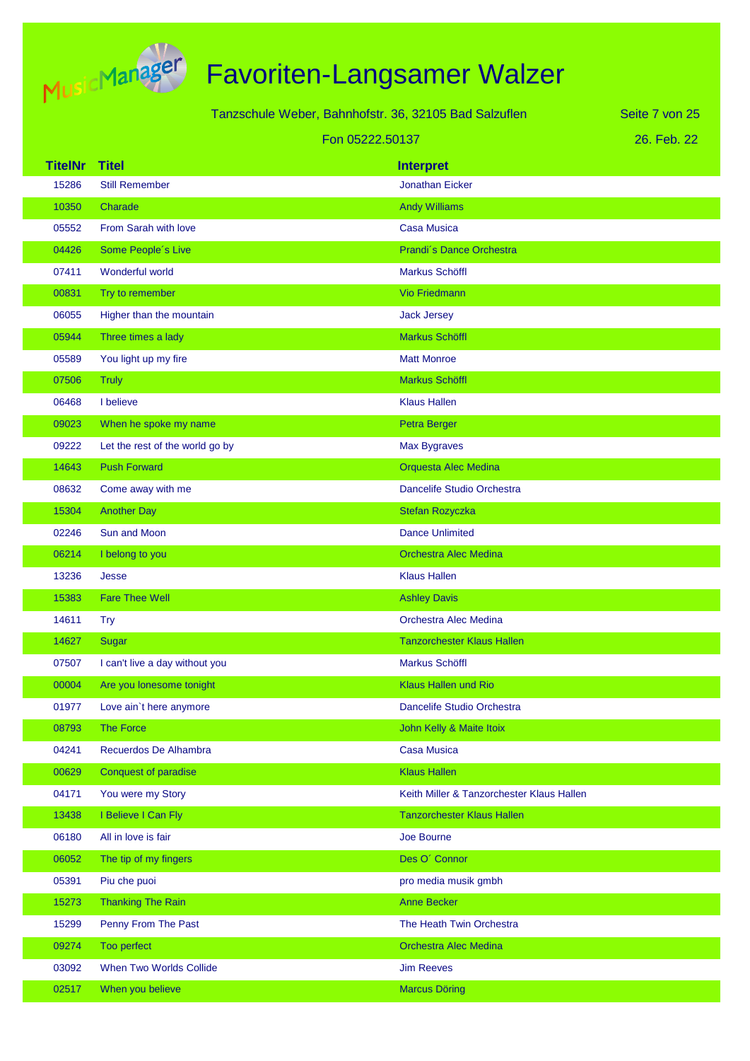

|                |                                 | Tanzschule Weber, Bahnhofstr. 36, 32105 Bad Salzuflen | Seite 7 von 25 |
|----------------|---------------------------------|-------------------------------------------------------|----------------|
|                |                                 | Fon 05222.50137                                       | 26. Feb. 22    |
| <b>TitelNr</b> | <b>Titel</b>                    | <b>Interpret</b>                                      |                |
| 15286          | <b>Still Remember</b>           | <b>Jonathan Eicker</b>                                |                |
| 10350          | Charade                         | <b>Andy Williams</b>                                  |                |
| 05552          | From Sarah with love            | Casa Musica                                           |                |
| 04426          | Some People's Live              | Prandi's Dance Orchestra                              |                |
| 07411          | Wonderful world                 | Markus Schöffl                                        |                |
| 00831          | Try to remember                 | <b>Vio Friedmann</b>                                  |                |
| 06055          | Higher than the mountain        | <b>Jack Jersey</b>                                    |                |
| 05944          | Three times a lady              | Markus Schöffl                                        |                |
| 05589          | You light up my fire            | <b>Matt Monroe</b>                                    |                |
| 07506          | <b>Truly</b>                    | Markus Schöffl                                        |                |
| 06468          | I believe                       | <b>Klaus Hallen</b>                                   |                |
| 09023          | When he spoke my name           | Petra Berger                                          |                |
| 09222          | Let the rest of the world go by | <b>Max Bygraves</b>                                   |                |
| 14643          | <b>Push Forward</b>             | Orquesta Alec Medina                                  |                |
| 08632          | Come away with me               | Dancelife Studio Orchestra                            |                |
| 15304          | <b>Another Day</b>              | Stefan Rozyczka                                       |                |
| 02246          | Sun and Moon                    | <b>Dance Unlimited</b>                                |                |
| 06214          | I belong to you                 | <b>Orchestra Alec Medina</b>                          |                |
| 13236          | Jesse                           | <b>Klaus Hallen</b>                                   |                |
| 15383          | <b>Fare Thee Well</b>           | <b>Ashley Davis</b>                                   |                |
| 14611          | <b>Try</b>                      | <b>Orchestra Alec Medina</b>                          |                |
| 14627          | Sugar                           | <b>Tanzorchester Klaus Hallen</b>                     |                |
| 07507          | I can't live a day without you  | Markus Schöffl                                        |                |
| 00004          | Are you lonesome tonight        | Klaus Hallen und Rio                                  |                |
| 01977          | Love ain't here anymore         | Dancelife Studio Orchestra                            |                |
| 08793          | The Force                       | John Kelly & Maite Itoix                              |                |
| 04241          | Recuerdos De Alhambra           | <b>Casa Musica</b>                                    |                |
| 00629          | <b>Conquest of paradise</b>     | <b>Klaus Hallen</b>                                   |                |
| 04171          | You were my Story               | Keith Miller & Tanzorchester Klaus Hallen             |                |
| 13438          | I Believe I Can Fly             | <b>Tanzorchester Klaus Hallen</b>                     |                |
| 06180          | All in love is fair             | Joe Bourne                                            |                |
| 06052          | The tip of my fingers           | Des O' Connor                                         |                |
| 05391          | Piu che puoi                    | pro media musik gmbh                                  |                |
| 15273          | <b>Thanking The Rain</b>        | <b>Anne Becker</b>                                    |                |
| 15299          | Penny From The Past             | The Heath Twin Orchestra                              |                |
| 09274          | Too perfect                     | <b>Orchestra Alec Medina</b>                          |                |
| 03092          | When Two Worlds Collide         | <b>Jim Reeves</b>                                     |                |
| 02517          | When you believe                | <b>Marcus Döring</b>                                  |                |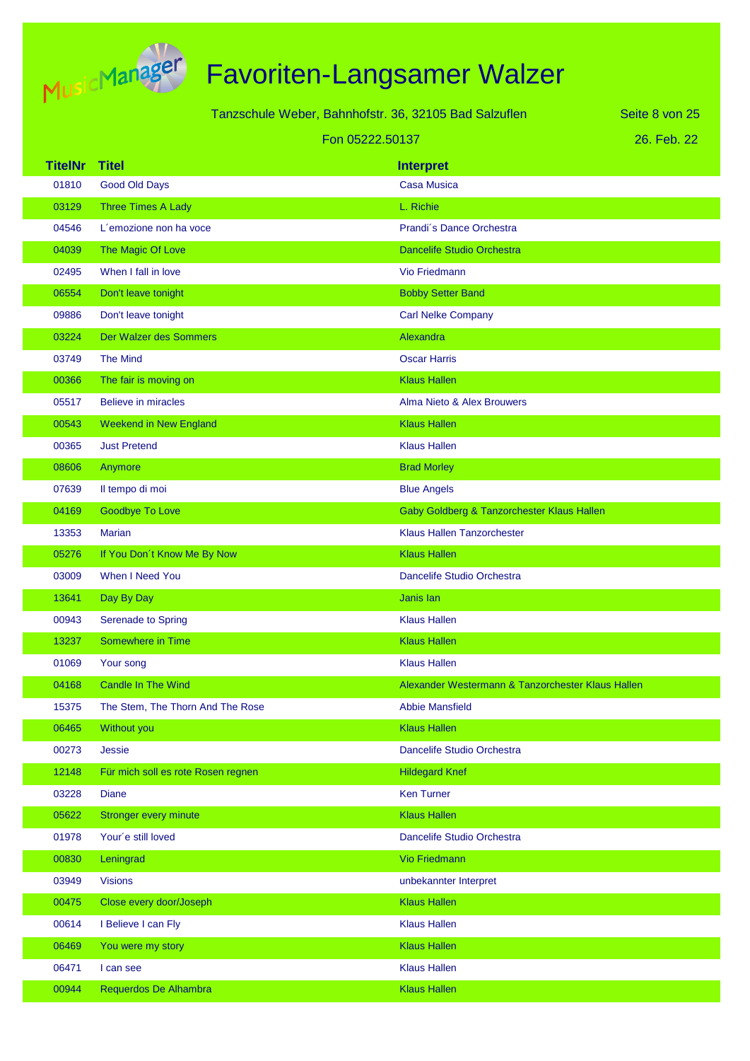

|                 | Tanzschule Weber, Bahnhofstr. 36, 32105 Bad Salzuflen |                                                   | Seite 8 von 25 |
|-----------------|-------------------------------------------------------|---------------------------------------------------|----------------|
| Fon 05222.50137 |                                                       |                                                   | 26. Feb. 22    |
| <b>TitelNr</b>  | <b>Titel</b>                                          | <b>Interpret</b>                                  |                |
| 01810           | <b>Good Old Days</b>                                  | <b>Casa Musica</b>                                |                |
| 03129           | Three Times A Lady                                    | L. Richie                                         |                |
| 04546           | L'emozione non ha voce                                | Prandi's Dance Orchestra                          |                |
| 04039           | The Magic Of Love                                     | <b>Dancelife Studio Orchestra</b>                 |                |
| 02495           | When I fall in love                                   | Vio Friedmann                                     |                |
| 06554           | Don't leave tonight                                   | <b>Bobby Setter Band</b>                          |                |
| 09886           | Don't leave tonight                                   | <b>Carl Nelke Company</b>                         |                |
| 03224           | Der Walzer des Sommers                                | Alexandra                                         |                |
| 03749           | <b>The Mind</b>                                       | <b>Oscar Harris</b>                               |                |
| 00366           | The fair is moving on                                 | <b>Klaus Hallen</b>                               |                |
| 05517           | <b>Believe in miracles</b>                            | Alma Nieto & Alex Brouwers                        |                |
| 00543           | <b>Weekend in New England</b>                         | <b>Klaus Hallen</b>                               |                |
| 00365           | <b>Just Pretend</b>                                   | <b>Klaus Hallen</b>                               |                |
| 08606           | Anymore                                               | <b>Brad Morley</b>                                |                |
| 07639           | Il tempo di moi                                       | <b>Blue Angels</b>                                |                |
| 04169           | <b>Goodbye To Love</b>                                | Gaby Goldberg & Tanzorchester Klaus Hallen        |                |
| 13353           | <b>Marian</b>                                         | <b>Klaus Hallen Tanzorchester</b>                 |                |
| 05276           | If You Don't Know Me By Now                           | <b>Klaus Hallen</b>                               |                |
| 03009           | When I Need You                                       | Dancelife Studio Orchestra                        |                |
| 13641           | Day By Day                                            | Janis lan                                         |                |
| 00943           | Serenade to Spring                                    | <b>Klaus Hallen</b>                               |                |
| 13237           | Somewhere in Time                                     | <b>Klaus Hallen</b>                               |                |
| 01069           | Your song                                             | <b>Klaus Hallen</b>                               |                |
| 04168           | <b>Candle In The Wind</b>                             | Alexander Westermann & Tanzorchester Klaus Hallen |                |
| 15375           | The Stem, The Thorn And The Rose                      | <b>Abbie Mansfield</b>                            |                |
| 06465           | Without you                                           | <b>Klaus Hallen</b>                               |                |
| 00273           | Jessie                                                | Dancelife Studio Orchestra                        |                |
| 12148           | Für mich soll es rote Rosen regnen                    | <b>Hildegard Knef</b>                             |                |
| 03228           | <b>Diane</b>                                          | <b>Ken Turner</b>                                 |                |
| 05622           | <b>Stronger every minute</b>                          | <b>Klaus Hallen</b>                               |                |
| 01978           | Your'e still loved                                    | Dancelife Studio Orchestra                        |                |
| 00830           | Leningrad                                             | Vio Friedmann                                     |                |
| 03949           | <b>Visions</b>                                        | unbekannter Interpret                             |                |
| 00475           | Close every door/Joseph                               | <b>Klaus Hallen</b>                               |                |
| 00614           | I Believe I can Fly                                   | <b>Klaus Hallen</b>                               |                |
| 06469           | You were my story                                     | <b>Klaus Hallen</b>                               |                |
| 06471           | I can see                                             | <b>Klaus Hallen</b>                               |                |
| 00944           | Requerdos De Alhambra                                 | <b>Klaus Hallen</b>                               |                |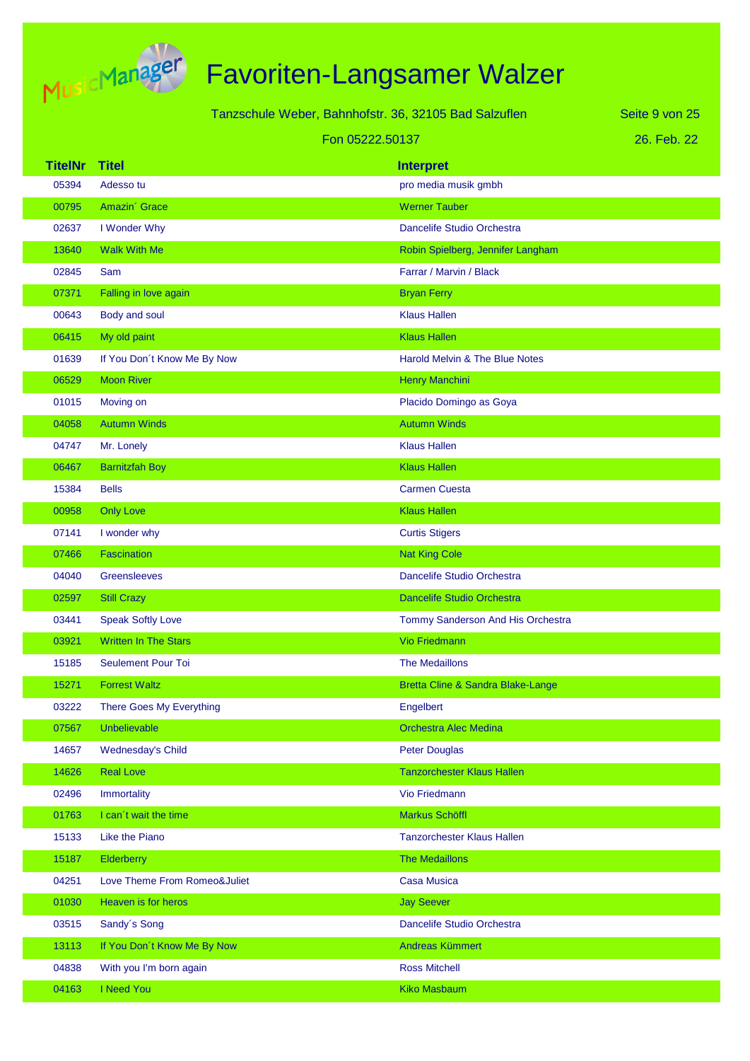

|                |                              | Tanzschule Weber, Bahnhofstr. 36, 32105 Bad Salzuflen | Seite 9 von 25 |
|----------------|------------------------------|-------------------------------------------------------|----------------|
|                | Fon 05222.50137              |                                                       | 26. Feb. 22    |
| <b>TitelNr</b> | <b>Titel</b>                 | <b>Interpret</b>                                      |                |
| 05394          | Adesso tu                    | pro media musik gmbh                                  |                |
| 00795          | Amazin' Grace                | <b>Werner Tauber</b>                                  |                |
| 02637          | I Wonder Why                 | Dancelife Studio Orchestra                            |                |
| 13640          | <b>Walk With Me</b>          | Robin Spielberg, Jennifer Langham                     |                |
| 02845          | Sam                          | Farrar / Marvin / Black                               |                |
| 07371          | Falling in love again        | <b>Bryan Ferry</b>                                    |                |
| 00643          | Body and soul                | <b>Klaus Hallen</b>                                   |                |
| 06415          | My old paint                 | <b>Klaus Hallen</b>                                   |                |
| 01639          | If You Don't Know Me By Now  | <b>Harold Melvin &amp; The Blue Notes</b>             |                |
| 06529          | <b>Moon River</b>            | Henry Manchini                                        |                |
| 01015          | Moving on                    | Placido Domingo as Goya                               |                |
| 04058          | <b>Autumn Winds</b>          | <b>Autumn Winds</b>                                   |                |
| 04747          | Mr. Lonely                   | <b>Klaus Hallen</b>                                   |                |
| 06467          | <b>Barnitzfah Boy</b>        | <b>Klaus Hallen</b>                                   |                |
| 15384          | <b>Bells</b>                 | <b>Carmen Cuesta</b>                                  |                |
| 00958          | <b>Only Love</b>             | <b>Klaus Hallen</b>                                   |                |
| 07141          | I wonder why                 | <b>Curtis Stigers</b>                                 |                |
| 07466          | Fascination                  | <b>Nat King Cole</b>                                  |                |
| 04040          | Greensleeves                 | Dancelife Studio Orchestra                            |                |
| 02597          | <b>Still Crazy</b>           | <b>Dancelife Studio Orchestra</b>                     |                |
| 03441          | <b>Speak Softly Love</b>     | Tommy Sanderson And His Orchestra                     |                |
| 03921          | <b>Written In The Stars</b>  | <b>Vio Friedmann</b>                                  |                |
| 15185          | <b>Seulement Pour Toi</b>    | <b>The Medaillons</b>                                 |                |
| 15271          | <b>Forrest Waltz</b>         | Bretta Cline & Sandra Blake-Lange                     |                |
| 03222          | There Goes My Everything     | Engelbert                                             |                |
| 07567          | Unbelievable                 | <b>Orchestra Alec Medina</b>                          |                |
| 14657          | Wednesday's Child            | Peter Douglas                                         |                |
| 14626          | <b>Real Love</b>             | <b>Tanzorchester Klaus Hallen</b>                     |                |
| 02496          | Immortality                  | Vio Friedmann                                         |                |
| 01763          | I can't wait the time        | Markus Schöffl                                        |                |
| 15133          | Like the Piano               | <b>Tanzorchester Klaus Hallen</b>                     |                |
| 15187          | Elderberry                   | <b>The Medaillons</b>                                 |                |
| 04251          | Love Theme From Romeo&Juliet | <b>Casa Musica</b>                                    |                |
| 01030          | Heaven is for heros          | <b>Jay Seever</b>                                     |                |
| 03515          | Sandy's Song                 | Dancelife Studio Orchestra                            |                |
| 13113          | If You Don't Know Me By Now  | Andreas Kümmert                                       |                |
| 04838          | With you I'm born again      | <b>Ross Mitchell</b>                                  |                |
| 04163          | I Need You                   | <b>Kiko Masbaum</b>                                   |                |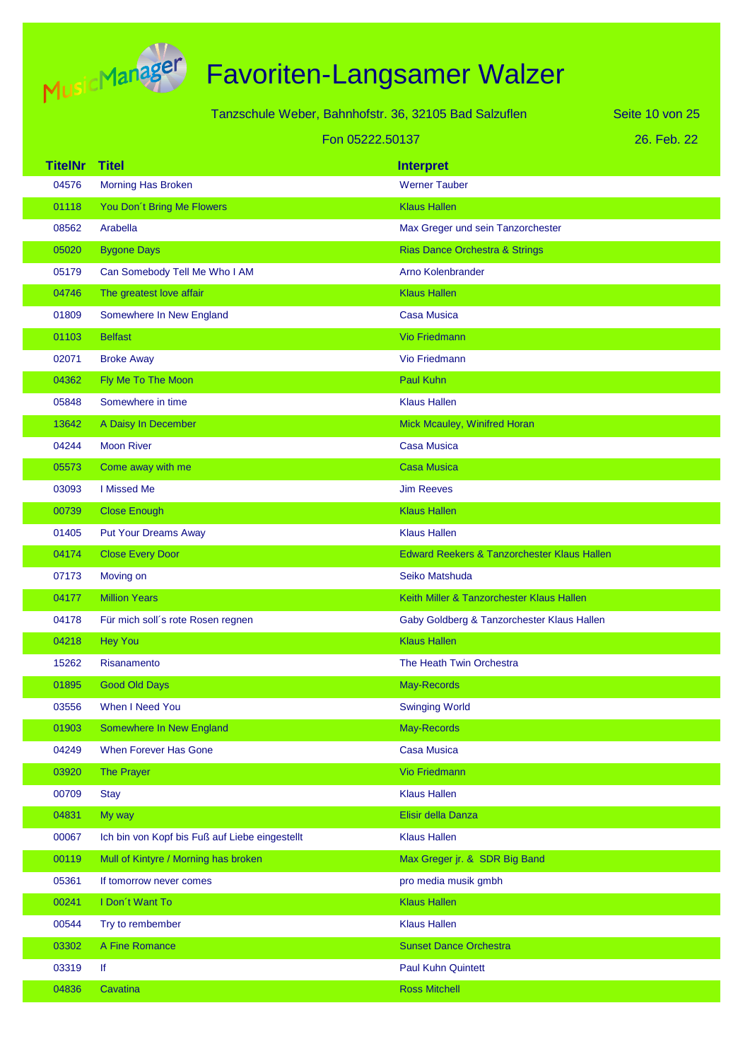

| Tanzschule Weber, Bahnhofstr. 36, 32105 Bad Salzuflen |  |
|-------------------------------------------------------|--|
| Fon 05222.50137                                       |  |

26. Feb. 22 Seite 10 von 25

| <b>TitelNr</b> | <b>Titel</b>                                   | <b>Interpret</b>                            |
|----------------|------------------------------------------------|---------------------------------------------|
| 04576          | <b>Morning Has Broken</b>                      | <b>Werner Tauber</b>                        |
| 01118          | You Don't Bring Me Flowers                     | <b>Klaus Hallen</b>                         |
| 08562          | Arabella                                       | Max Greger und sein Tanzorchester           |
| 05020          | <b>Bygone Days</b>                             | <b>Rias Dance Orchestra &amp; Strings</b>   |
| 05179          | Can Somebody Tell Me Who I AM                  | <b>Arno Kolenbrander</b>                    |
| 04746          | The greatest love affair                       | <b>Klaus Hallen</b>                         |
| 01809          | Somewhere In New England                       | <b>Casa Musica</b>                          |
| 01103          | <b>Belfast</b>                                 | <b>Vio Friedmann</b>                        |
| 02071          | <b>Broke Away</b>                              | <b>Vio Friedmann</b>                        |
| 04362          | Fly Me To The Moon                             | Paul Kuhn                                   |
| 05848          | Somewhere in time                              | <b>Klaus Hallen</b>                         |
| 13642          | A Daisy In December                            | Mick Mcauley, Winifred Horan                |
| 04244          | <b>Moon River</b>                              | <b>Casa Musica</b>                          |
| 05573          | Come away with me                              | <b>Casa Musica</b>                          |
| 03093          | I Missed Me                                    | <b>Jim Reeves</b>                           |
| 00739          | <b>Close Enough</b>                            | <b>Klaus Hallen</b>                         |
| 01405          | <b>Put Your Dreams Away</b>                    | <b>Klaus Hallen</b>                         |
| 04174          | <b>Close Every Door</b>                        | Edward Reekers & Tanzorchester Klaus Hallen |
| 07173          | Moving on                                      | Seiko Matshuda                              |
| 04177          | <b>Million Years</b>                           | Keith Miller & Tanzorchester Klaus Hallen   |
| 04178          | Für mich soll's rote Rosen regnen              | Gaby Goldberg & Tanzorchester Klaus Hallen  |
| 04218          | <b>Hey You</b>                                 | <b>Klaus Hallen</b>                         |
| 15262          | Risanamento                                    | The Heath Twin Orchestra                    |
| 01895          | <b>Good Old Days</b>                           | May-Records                                 |
| 03556          | When I Need You                                | <b>Swinging World</b>                       |
| 01903          | Somewhere In New England                       | May-Records                                 |
| 04249          | When Forever Has Gone                          | <b>Casa Musica</b>                          |
| 03920          | <b>The Prayer</b>                              | Vio Friedmann                               |
| 00709          | <b>Stay</b>                                    | <b>Klaus Hallen</b>                         |
| 04831          | My way                                         | Elisir della Danza                          |
| 00067          | Ich bin von Kopf bis Fuß auf Liebe eingestellt | <b>Klaus Hallen</b>                         |
| 00119          | Mull of Kintyre / Morning has broken           | Max Greger jr. & SDR Big Band               |
| 05361          | If tomorrow never comes                        | pro media musik gmbh                        |
| 00241          | I Don't Want To                                | <b>Klaus Hallen</b>                         |
| 00544          | Try to rembember                               | <b>Klaus Hallen</b>                         |
| 03302          | A Fine Romance                                 | <b>Sunset Dance Orchestra</b>               |
| 03319          | lf                                             | <b>Paul Kuhn Quintett</b>                   |
| 04836          | Cavatina                                       | <b>Ross Mitchell</b>                        |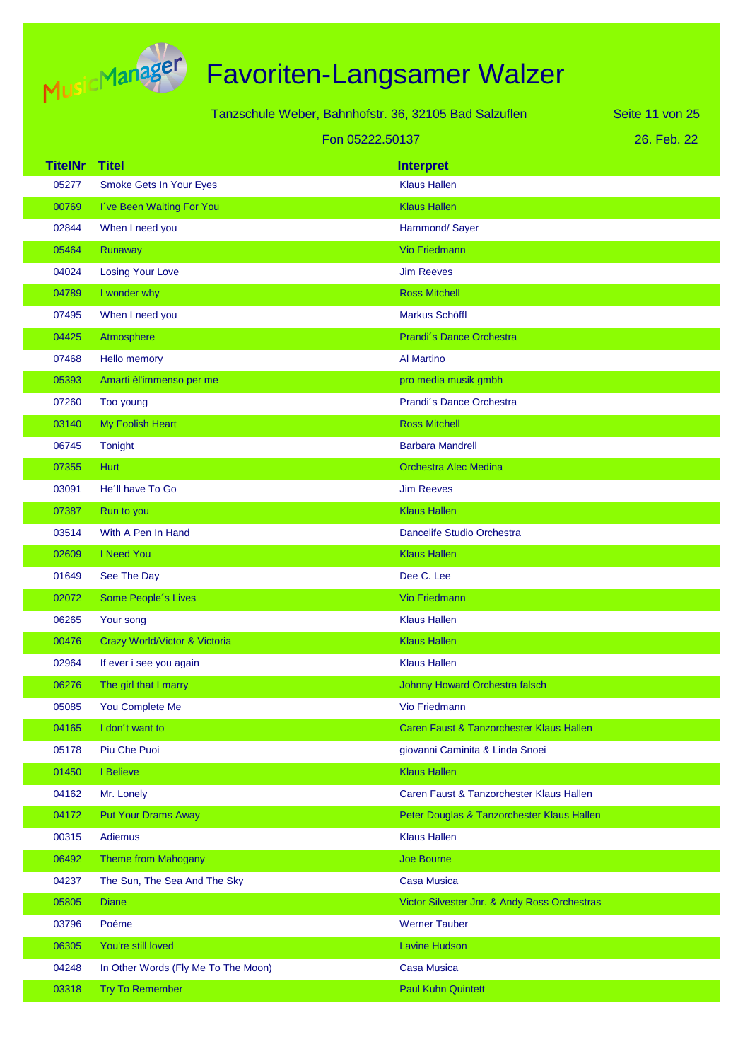

| Tanzschule Weber, Bahnhofstr. 36, 32105 Bad Salzuflen<br>Seite 11 von 25 |                                     |                                              |             |
|--------------------------------------------------------------------------|-------------------------------------|----------------------------------------------|-------------|
|                                                                          | Fon 05222.50137                     |                                              | 26. Feb. 22 |
| <b>TitelNr</b>                                                           | <b>Titel</b>                        | <b>Interpret</b>                             |             |
| 05277                                                                    | Smoke Gets In Your Eyes             | <b>Klaus Hallen</b>                          |             |
| 00769                                                                    | I've Been Waiting For You           | <b>Klaus Hallen</b>                          |             |
| 02844                                                                    | When I need you                     | Hammond/Sayer                                |             |
| 05464                                                                    | Runaway                             | <b>Vio Friedmann</b>                         |             |
| 04024                                                                    | <b>Losing Your Love</b>             | <b>Jim Reeves</b>                            |             |
| 04789                                                                    | I wonder why                        | <b>Ross Mitchell</b>                         |             |
| 07495                                                                    | When I need you                     | Markus Schöffl                               |             |
| 04425                                                                    | Atmosphere                          | Prandi's Dance Orchestra                     |             |
| 07468                                                                    | Hello memory                        | Al Martino                                   |             |
| 05393                                                                    | Amarti èl'immenso per me            | pro media musik gmbh                         |             |
| 07260                                                                    | Too young                           | Prandi's Dance Orchestra                     |             |
| 03140                                                                    | My Foolish Heart                    | <b>Ross Mitchell</b>                         |             |
| 06745                                                                    | <b>Tonight</b>                      | <b>Barbara Mandrell</b>                      |             |
| 07355                                                                    | <b>Hurt</b>                         | <b>Orchestra Alec Medina</b>                 |             |
| 03091                                                                    | He'll have To Go                    | <b>Jim Reeves</b>                            |             |
| 07387                                                                    | Run to you                          | <b>Klaus Hallen</b>                          |             |
| 03514                                                                    | With A Pen In Hand                  | Dancelife Studio Orchestra                   |             |
| 02609                                                                    | I Need You                          | <b>Klaus Hallen</b>                          |             |
| 01649                                                                    | See The Day                         | Dee C. Lee                                   |             |
| 02072                                                                    | Some People's Lives                 | <b>Vio Friedmann</b>                         |             |
| 06265                                                                    | Your song                           | <b>Klaus Hallen</b>                          |             |
| 00476                                                                    | Crazy World/Victor & Victoria       | <b>Klaus Hallen</b>                          |             |
| 02964                                                                    | If ever i see you again             | <b>Klaus Hallen</b>                          |             |
| 06276                                                                    | The girl that I marry               | Johnny Howard Orchestra falsch               |             |
| 05085                                                                    | You Complete Me                     | Vio Friedmann                                |             |
| 04165                                                                    | I don't want to                     | Caren Faust & Tanzorchester Klaus Hallen     |             |
| 05178                                                                    | Piu Che Puoi                        | giovanni Caminita & Linda Snoei              |             |
| 01450                                                                    | I Believe                           | <b>Klaus Hallen</b>                          |             |
| 04162                                                                    | Mr. Lonely                          | Caren Faust & Tanzorchester Klaus Hallen     |             |
| 04172                                                                    | <b>Put Your Drams Away</b>          | Peter Douglas & Tanzorchester Klaus Hallen   |             |
| 00315                                                                    | <b>Adiemus</b>                      | <b>Klaus Hallen</b>                          |             |
| 06492                                                                    | <b>Theme from Mahogany</b>          | Joe Bourne                                   |             |
| 04237                                                                    | The Sun, The Sea And The Sky        | <b>Casa Musica</b>                           |             |
| 05805                                                                    | <b>Diane</b>                        | Victor Silvester Jnr. & Andy Ross Orchestras |             |
| 03796                                                                    | Poéme                               | <b>Werner Tauber</b>                         |             |
| 06305                                                                    | You're still loved                  | <b>Lavine Hudson</b>                         |             |
| 04248                                                                    | In Other Words (Fly Me To The Moon) | <b>Casa Musica</b>                           |             |
| 03318                                                                    | <b>Try To Remember</b>              | <b>Paul Kuhn Quintett</b>                    |             |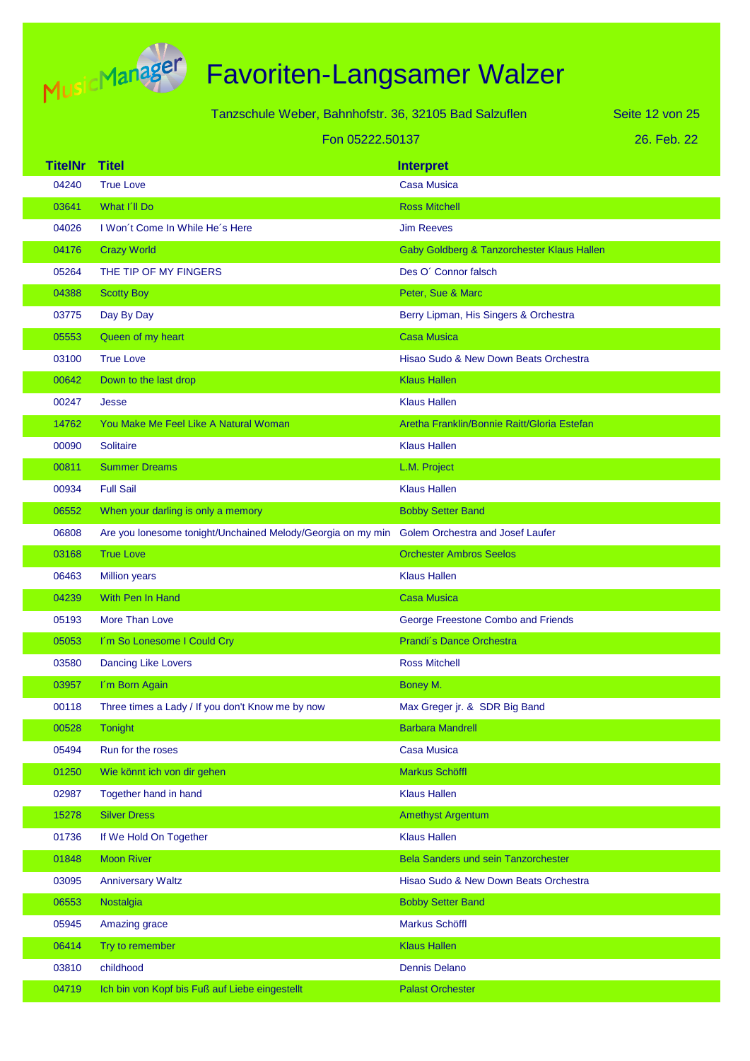

| Tanzschule Weber, Bahnhofstr, 36, 32105 Bad Salzuflen |                 |  |  |
|-------------------------------------------------------|-----------------|--|--|
|                                                       | Fon 05222.50137 |  |  |

26. Feb. 22 Seite 12 von 25

| <b>TitelNr</b> | <b>Titel</b>                                                                                 | <b>Interpret</b>                            |
|----------------|----------------------------------------------------------------------------------------------|---------------------------------------------|
| 04240          | <b>True Love</b>                                                                             | <b>Casa Musica</b>                          |
| 03641          | What I'll Do                                                                                 | <b>Ross Mitchell</b>                        |
| 04026          | I Won't Come In While He's Here                                                              | <b>Jim Reeves</b>                           |
| 04176          | <b>Crazy World</b>                                                                           | Gaby Goldberg & Tanzorchester Klaus Hallen  |
| 05264          | THE TIP OF MY FINGERS                                                                        | Des O' Connor falsch                        |
| 04388          | <b>Scotty Boy</b>                                                                            | Peter, Sue & Marc                           |
| 03775          | Day By Day                                                                                   | Berry Lipman, His Singers & Orchestra       |
| 05553          | Queen of my heart                                                                            | <b>Casa Musica</b>                          |
| 03100          | <b>True Love</b>                                                                             | Hisao Sudo & New Down Beats Orchestra       |
| 00642          | Down to the last drop                                                                        | <b>Klaus Hallen</b>                         |
| 00247          | Jesse                                                                                        | <b>Klaus Hallen</b>                         |
| 14762          | You Make Me Feel Like A Natural Woman                                                        | Aretha Franklin/Bonnie Raitt/Gloria Estefan |
| 00090          | <b>Solitaire</b>                                                                             | <b>Klaus Hallen</b>                         |
| 00811          | <b>Summer Dreams</b>                                                                         | L.M. Project                                |
| 00934          | <b>Full Sail</b>                                                                             | <b>Klaus Hallen</b>                         |
| 06552          | When your darling is only a memory                                                           | <b>Bobby Setter Band</b>                    |
| 06808          | Are you lonesome tonight/Unchained Melody/Georgia on my min Golem Orchestra and Josef Laufer |                                             |
| 03168          | <b>True Love</b>                                                                             | <b>Orchester Ambros Seelos</b>              |
| 06463          | <b>Million years</b>                                                                         | <b>Klaus Hallen</b>                         |
| 04239          | With Pen In Hand                                                                             | <b>Casa Musica</b>                          |
| 05193          | More Than Love                                                                               | George Freestone Combo and Friends          |
| 05053          | I'm So Lonesome I Could Cry                                                                  | Prandi's Dance Orchestra                    |
| 03580          | <b>Dancing Like Lovers</b>                                                                   | <b>Ross Mitchell</b>                        |
| 03957          | I'm Born Again                                                                               | Boney M.                                    |
| 00118          | Three times a Lady / If you don't Know me by now                                             | Max Greger jr. & SDR Big Band               |
| 00528          | Tonight                                                                                      | <b>Barbara Mandrell</b>                     |
| 05494          | Run for the roses                                                                            | <b>Casa Musica</b>                          |
| 01250          | Wie könnt ich von dir gehen                                                                  | <b>Markus Schöffl</b>                       |
| 02987          | Together hand in hand                                                                        | <b>Klaus Hallen</b>                         |
| 15278          | <b>Silver Dress</b>                                                                          | <b>Amethyst Argentum</b>                    |
| 01736          | If We Hold On Together                                                                       | <b>Klaus Hallen</b>                         |
| 01848          | <b>Moon River</b>                                                                            | <b>Bela Sanders und sein Tanzorchester</b>  |
| 03095          | <b>Anniversary Waltz</b>                                                                     | Hisao Sudo & New Down Beats Orchestra       |
| 06553          | Nostalgia                                                                                    | <b>Bobby Setter Band</b>                    |
| 05945          | Amazing grace                                                                                | Markus Schöffl                              |
| 06414          | Try to remember                                                                              | <b>Klaus Hallen</b>                         |
| 03810          | childhood                                                                                    | <b>Dennis Delano</b>                        |
| 04719          | Ich bin von Kopf bis Fuß auf Liebe eingestellt                                               | <b>Palast Orchester</b>                     |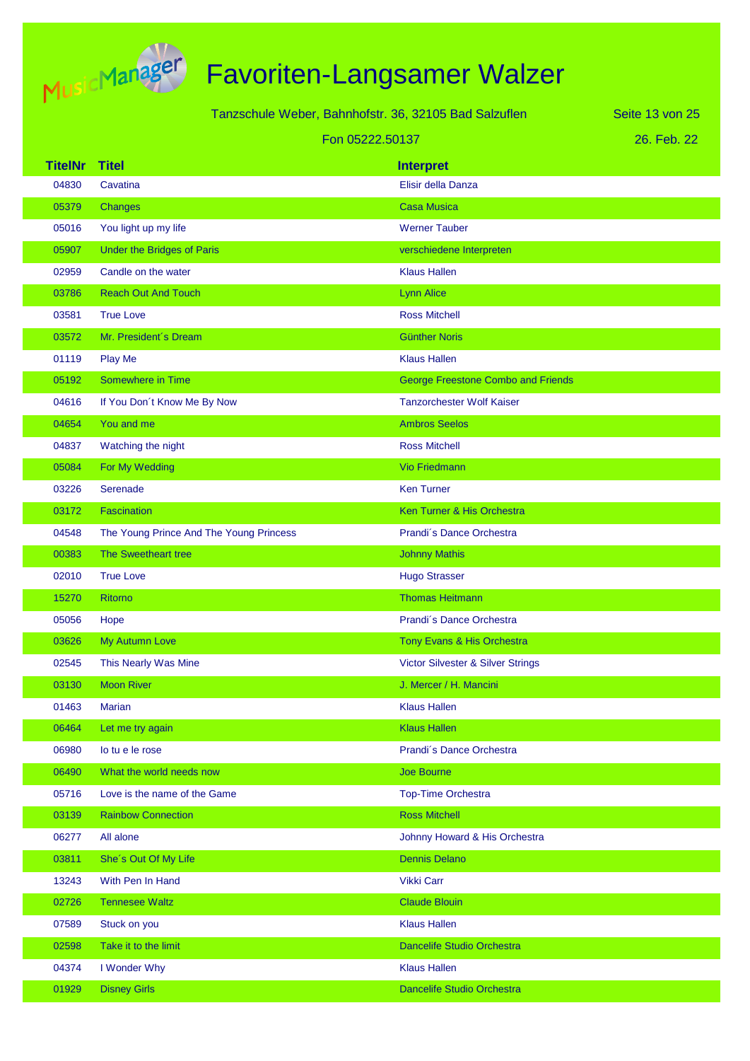

|                | Tanzschule Weber, Bahnhofstr. 36, 32105 Bad Salzuflen |                                           | Seite 13 von 25 |
|----------------|-------------------------------------------------------|-------------------------------------------|-----------------|
|                |                                                       | Fon 05222.50137                           | 26. Feb. 22     |
| <b>TitelNr</b> | <b>Titel</b>                                          | <b>Interpret</b>                          |                 |
| 04830          | Cavatina                                              | Elisir della Danza                        |                 |
| 05379          | Changes                                               | <b>Casa Musica</b>                        |                 |
| 05016          | You light up my life                                  | <b>Werner Tauber</b>                      |                 |
| 05907          | Under the Bridges of Paris                            | verschiedene Interpreten                  |                 |
| 02959          | Candle on the water                                   | <b>Klaus Hallen</b>                       |                 |
| 03786          | <b>Reach Out And Touch</b>                            | <b>Lynn Alice</b>                         |                 |
| 03581          | <b>True Love</b>                                      | <b>Ross Mitchell</b>                      |                 |
| 03572          | Mr. President's Dream                                 | <b>Günther Noris</b>                      |                 |
| 01119          | Play Me                                               | <b>Klaus Hallen</b>                       |                 |
| 05192          | Somewhere in Time                                     | <b>George Freestone Combo and Friends</b> |                 |
| 04616          | If You Don't Know Me By Now                           | <b>Tanzorchester Wolf Kaiser</b>          |                 |
| 04654          | You and me                                            | <b>Ambros Seelos</b>                      |                 |
| 04837          | Watching the night                                    | <b>Ross Mitchell</b>                      |                 |
| 05084          | For My Wedding                                        | <b>Vio Friedmann</b>                      |                 |
| 03226          | Serenade                                              | <b>Ken Turner</b>                         |                 |
| 03172          | Fascination                                           | Ken Turner & His Orchestra                |                 |
| 04548          | The Young Prince And The Young Princess               | Prandi's Dance Orchestra                  |                 |
| 00383          | The Sweetheart tree                                   | <b>Johnny Mathis</b>                      |                 |
| 02010          | <b>True Love</b>                                      | <b>Hugo Strasser</b>                      |                 |
| 15270          | <b>Ritorno</b>                                        | <b>Thomas Heitmann</b>                    |                 |
| 05056          | Hope                                                  | Prandi's Dance Orchestra                  |                 |
| 03626          | My Autumn Love                                        | Tony Evans & His Orchestra                |                 |
| 02545          | This Nearly Was Mine                                  | Victor Silvester & Silver Strings         |                 |
| 03130          | <b>Moon River</b>                                     | J. Mercer / H. Mancini                    |                 |
| 01463          | <b>Marian</b>                                         | <b>Klaus Hallen</b>                       |                 |
| 06464          | Let me try again                                      | <b>Klaus Hallen</b>                       |                 |
| 06980          | lo tu e le rose                                       | Prandi's Dance Orchestra                  |                 |
| 06490          | What the world needs now                              | <b>Joe Bourne</b>                         |                 |
| 05716          | Love is the name of the Game                          | <b>Top-Time Orchestra</b>                 |                 |
| 03139          | <b>Rainbow Connection</b>                             | <b>Ross Mitchell</b>                      |                 |
| 06277          | All alone                                             | Johnny Howard & His Orchestra             |                 |
| 03811          | She's Out Of My Life                                  | <b>Dennis Delano</b>                      |                 |
| 13243          | With Pen In Hand                                      | <b>Vikki Carr</b>                         |                 |
| 02726          | <b>Tennesee Waltz</b>                                 | <b>Claude Blouin</b>                      |                 |
| 07589          | Stuck on you                                          | <b>Klaus Hallen</b>                       |                 |
| 02598          | Take it to the limit                                  | <b>Dancelife Studio Orchestra</b>         |                 |
| 04374          | I Wonder Why                                          | <b>Klaus Hallen</b>                       |                 |

01929 Disney Girls Dancelife Studio Orchestra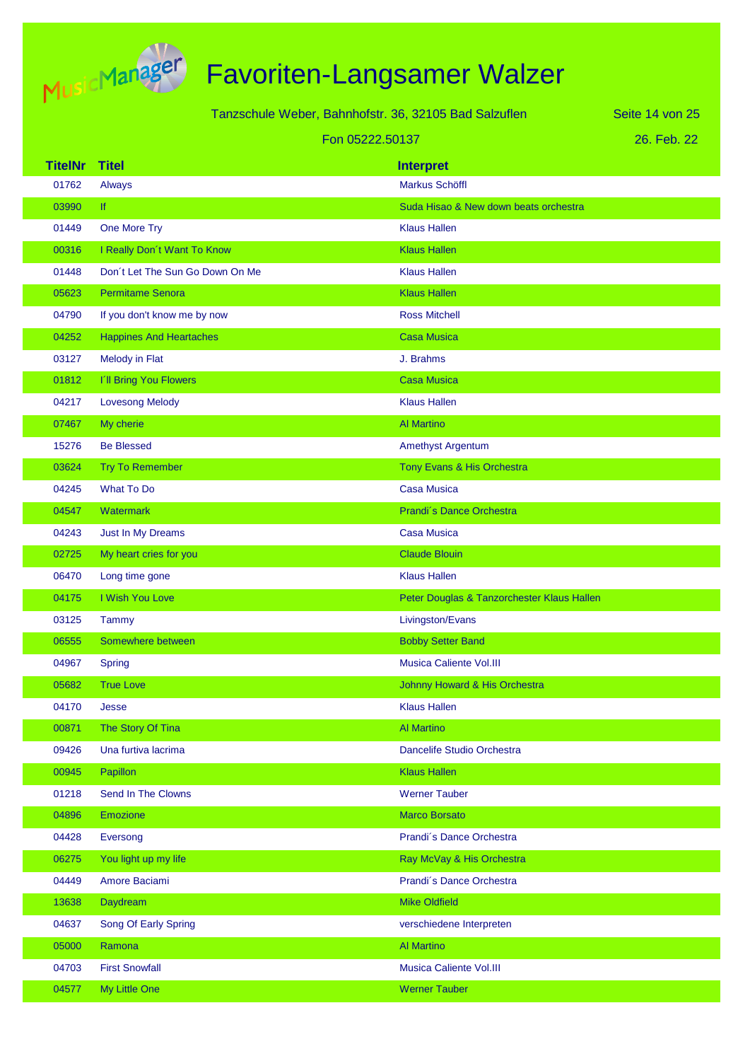

|  | Tanzschule Weber, Bahnhofstr. 36, 32105 Bad Salzuflen |  |  |  |
|--|-------------------------------------------------------|--|--|--|
|  | Fon 05222.50137                                       |  |  |  |

26. Feb. 22 Seite 14 von 25

| <b>TitelNr</b> | <b>Titel</b>                    | <b>Interpret</b>                           |
|----------------|---------------------------------|--------------------------------------------|
| 01762          | Always                          | <b>Markus Schöffl</b>                      |
| 03990          | <b>If</b>                       | Suda Hisao & New down beats orchestra      |
| 01449          | One More Try                    | <b>Klaus Hallen</b>                        |
| 00316          | I Really Don't Want To Know     | <b>Klaus Hallen</b>                        |
| 01448          | Don't Let The Sun Go Down On Me | <b>Klaus Hallen</b>                        |
| 05623          | <b>Permitame Senora</b>         | <b>Klaus Hallen</b>                        |
| 04790          | If you don't know me by now     | <b>Ross Mitchell</b>                       |
| 04252          | <b>Happines And Heartaches</b>  | <b>Casa Musica</b>                         |
| 03127          | Melody in Flat                  | J. Brahms                                  |
| 01812          | I'll Bring You Flowers          | <b>Casa Musica</b>                         |
| 04217          | <b>Lovesong Melody</b>          | <b>Klaus Hallen</b>                        |
| 07467          | My cherie                       | <b>Al Martino</b>                          |
| 15276          | <b>Be Blessed</b>               | <b>Amethyst Argentum</b>                   |
| 03624          | <b>Try To Remember</b>          | Tony Evans & His Orchestra                 |
| 04245          | <b>What To Do</b>               | <b>Casa Musica</b>                         |
| 04547          | Watermark                       | Prandi's Dance Orchestra                   |
| 04243          | Just In My Dreams               | <b>Casa Musica</b>                         |
| 02725          | My heart cries for you          | <b>Claude Blouin</b>                       |
| 06470          | Long time gone                  | <b>Klaus Hallen</b>                        |
| 04175          | I Wish You Love                 | Peter Douglas & Tanzorchester Klaus Hallen |
| 03125          | Tammy                           | Livingston/Evans                           |
| 06555          | Somewhere between               | <b>Bobby Setter Band</b>                   |
| 04967          | <b>Spring</b>                   | <b>Musica Caliente Vol.III</b>             |
| 05682          | <b>True Love</b>                | Johnny Howard & His Orchestra              |
| 04170          | Jesse                           | <b>Klaus Hallen</b>                        |
| 00871          | The Story Of Tina               | <b>Al Martino</b>                          |
| 09426          | Una furtiva lacrima             | Dancelife Studio Orchestra                 |
| 00945          | Papillon                        | <b>Klaus Hallen</b>                        |
| 01218          | Send In The Clowns              | <b>Werner Tauber</b>                       |
| 04896          | <b>Emozione</b>                 | <b>Marco Borsato</b>                       |
| 04428          | Eversong                        | Prandi's Dance Orchestra                   |
| 06275          | You light up my life            | Ray McVay & His Orchestra                  |
| 04449          | Amore Baciami                   | Prandi's Dance Orchestra                   |
| 13638          | Daydream                        | <b>Mike Oldfield</b>                       |
| 04637          | Song Of Early Spring            | verschiedene Interpreten                   |
| 05000          | Ramona                          | <b>Al Martino</b>                          |
| 04703          | <b>First Snowfall</b>           | Musica Caliente Vol.III                    |
| 04577          | My Little One                   | <b>Werner Tauber</b>                       |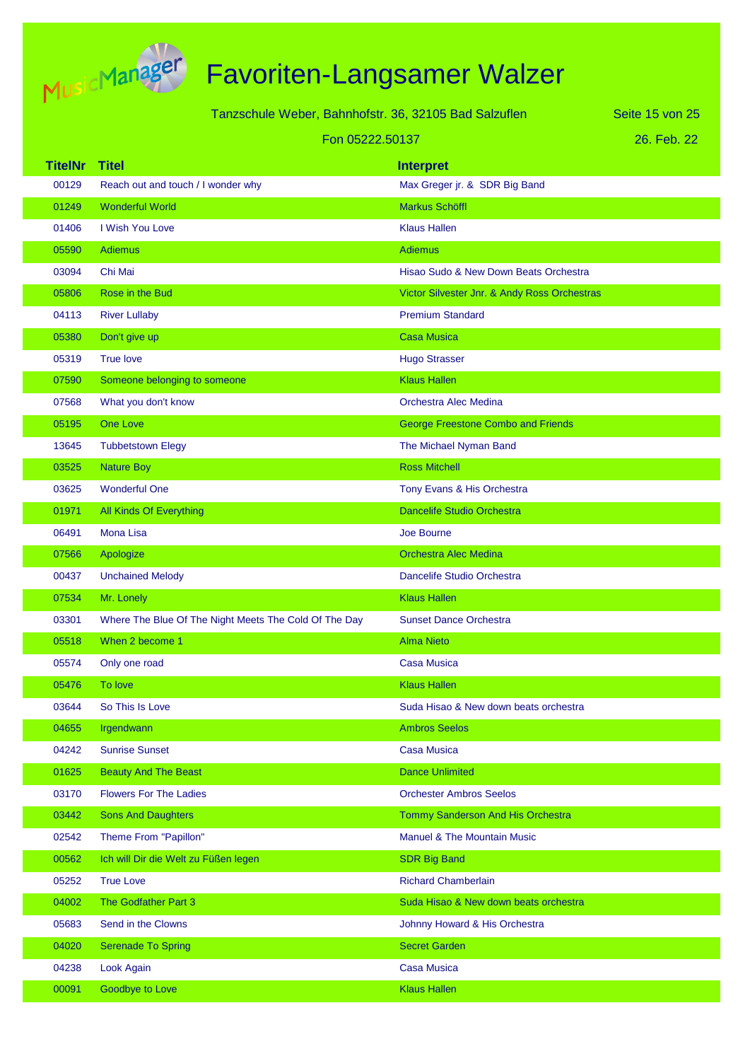

|                | Tanzschule Weber, Bahnhofstr. 36, 32105 Bad Salzuflen |                                              | Seite 15 von 25 |
|----------------|-------------------------------------------------------|----------------------------------------------|-----------------|
|                |                                                       |                                              |                 |
|                | Fon 05222.50137                                       |                                              | 26. Feb. 22     |
| <b>TitelNr</b> | <b>Titel</b>                                          | <b>Interpret</b>                             |                 |
| 00129          | Reach out and touch / I wonder why                    | Max Greger jr. & SDR Big Band                |                 |
| 01249          | <b>Wonderful World</b>                                | Markus Schöffl                               |                 |
| 01406          | I Wish You Love                                       | <b>Klaus Hallen</b>                          |                 |
| 05590          | <b>Adiemus</b>                                        | <b>Adiemus</b>                               |                 |
| 03094          | Chi Mai                                               | Hisao Sudo & New Down Beats Orchestra        |                 |
| 05806          | Rose in the Bud                                       | Victor Silvester Jnr. & Andy Ross Orchestras |                 |
| 04113          | <b>River Lullaby</b>                                  | <b>Premium Standard</b>                      |                 |
| 05380          | Don't give up                                         | <b>Casa Musica</b>                           |                 |
| 05319          | True love                                             | <b>Hugo Strasser</b>                         |                 |
| 07590          | Someone belonging to someone                          | <b>Klaus Hallen</b>                          |                 |
| 07568          | What you don't know                                   | Orchestra Alec Medina                        |                 |
| 05195          | One Love                                              | <b>George Freestone Combo and Friends</b>    |                 |
| 13645          | <b>Tubbetstown Elegy</b>                              | The Michael Nyman Band                       |                 |
| 03525          | <b>Nature Boy</b>                                     | <b>Ross Mitchell</b>                         |                 |
| 03625          | <b>Wonderful One</b>                                  | Tony Evans & His Orchestra                   |                 |
| 01971          | All Kinds Of Everything                               | <b>Dancelife Studio Orchestra</b>            |                 |
| 06491          | <b>Mona Lisa</b>                                      | <b>Joe Bourne</b>                            |                 |
| 07566          | Apologize                                             | <b>Orchestra Alec Medina</b>                 |                 |
| 00437          | <b>Unchained Melody</b>                               | Dancelife Studio Orchestra                   |                 |
| 07534          | Mr. Lonely                                            | <b>Klaus Hallen</b>                          |                 |
| 03301          | Where The Blue Of The Night Meets The Cold Of The Day | <b>Sunset Dance Orchestra</b>                |                 |
| 05518          | When 2 become 1                                       | <b>Alma Nieto</b>                            |                 |
| 05574          | Only one road                                         | Casa Musica                                  |                 |
| 05476          | To love                                               | <b>Klaus Hallen</b>                          |                 |
| 03644          | So This Is Love                                       | Suda Hisao & New down beats orchestra        |                 |
| 04655          | Irgendwann                                            | <b>Ambros Seelos</b>                         |                 |
| 04242          | <b>Sunrise Sunset</b>                                 | <b>Casa Musica</b>                           |                 |
| 01625          | <b>Beauty And The Beast</b>                           | <b>Dance Unlimited</b>                       |                 |
| 03170          | <b>Flowers For The Ladies</b>                         | <b>Orchester Ambros Seelos</b>               |                 |
| 03442          | <b>Sons And Daughters</b>                             | Tommy Sanderson And His Orchestra            |                 |
| 02542          | Theme From "Papillon"                                 | <b>Manuel &amp; The Mountain Music</b>       |                 |
| 00562          | Ich will Dir die Welt zu Füßen legen                  | <b>SDR Big Band</b>                          |                 |
| 05252          | <b>True Love</b>                                      | <b>Richard Chamberlain</b>                   |                 |
| 04002          | The Godfather Part 3                                  | Suda Hisao & New down beats orchestra        |                 |
| 05683          | Send in the Clowns                                    | Johnny Howard & His Orchestra                |                 |
| 04020          | <b>Serenade To Spring</b>                             | <b>Secret Garden</b>                         |                 |
| 04238          | Look Again                                            | <b>Casa Musica</b>                           |                 |
|                |                                                       |                                              |                 |

00091 Goodbye to Love Klaus Hallen Klaus Hallen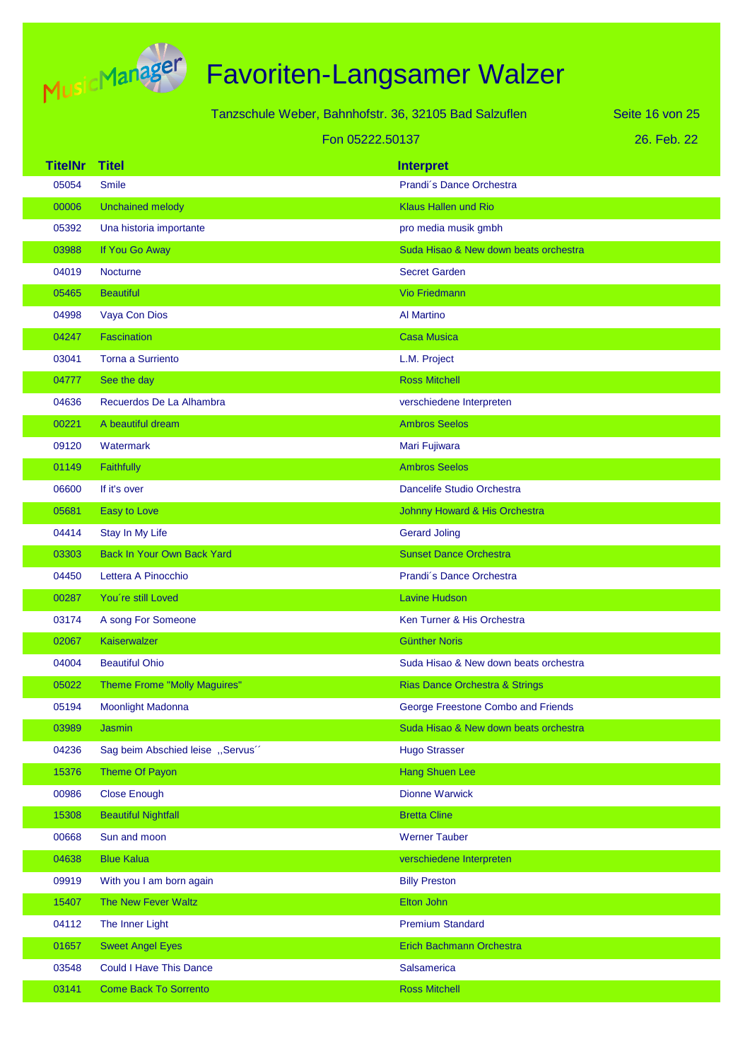

|                | Tanzschule Weber, Bahnhofstr. 36, 32105 Bad Salzuflen |                                           | Seite 16 von 25 |
|----------------|-------------------------------------------------------|-------------------------------------------|-----------------|
|                | Fon 05222.50137                                       |                                           | 26. Feb. 22     |
| <b>TitelNr</b> | <b>Titel</b>                                          | <b>Interpret</b>                          |                 |
| 05054          | <b>Smile</b>                                          | Prandi's Dance Orchestra                  |                 |
| 00006          | <b>Unchained melody</b>                               | <b>Klaus Hallen und Rio</b>               |                 |
| 05392          | Una historia importante                               | pro media musik gmbh                      |                 |
| 03988          | If You Go Away                                        | Suda Hisao & New down beats orchestra     |                 |
| 04019          | <b>Nocturne</b>                                       | <b>Secret Garden</b>                      |                 |
| 05465          | <b>Beautiful</b>                                      | <b>Vio Friedmann</b>                      |                 |
| 04998          | Vaya Con Dios                                         | <b>Al Martino</b>                         |                 |
| 04247          | <b>Fascination</b>                                    | <b>Casa Musica</b>                        |                 |
| 03041          | <b>Torna a Surriento</b>                              | L.M. Project                              |                 |
| 04777          | See the day                                           | <b>Ross Mitchell</b>                      |                 |
| 04636          | Recuerdos De La Alhambra                              | verschiedene Interpreten                  |                 |
| 00221          | A beautiful dream                                     | <b>Ambros Seelos</b>                      |                 |
| 09120          | Watermark                                             | Mari Fujiwara                             |                 |
| 01149          | Faithfully                                            | <b>Ambros Seelos</b>                      |                 |
| 06600          | If it's over                                          | Dancelife Studio Orchestra                |                 |
| 05681          | Easy to Love                                          | Johnny Howard & His Orchestra             |                 |
| 04414          | Stay In My Life                                       | <b>Gerard Joling</b>                      |                 |
| 03303          | <b>Back In Your Own Back Yard</b>                     | <b>Sunset Dance Orchestra</b>             |                 |
| 04450          | Lettera A Pinocchio                                   | Prandi's Dance Orchestra                  |                 |
| 00287          | You're still Loved                                    | <b>Lavine Hudson</b>                      |                 |
| 03174          | A song For Someone                                    | Ken Turner & His Orchestra                |                 |
| 02067          | Kaiserwalzer                                          | <b>Günther Noris</b>                      |                 |
| 04004          | <b>Beautiful Ohio</b>                                 | Suda Hisao & New down beats orchestra     |                 |
| 05022          | <b>Theme Frome "Molly Maguires"</b>                   | <b>Rias Dance Orchestra &amp; Strings</b> |                 |
| 05194          | Moonlight Madonna                                     | George Freestone Combo and Friends        |                 |
| 03989          | <b>Jasmin</b>                                         | Suda Hisao & New down beats orchestra     |                 |
| 04236          | Sag beim Abschied leise "Servus"                      | <b>Hugo Strasser</b>                      |                 |
| 15376          | <b>Theme Of Payon</b>                                 | <b>Hang Shuen Lee</b>                     |                 |
| 00986          | <b>Close Enough</b>                                   | <b>Dionne Warwick</b>                     |                 |
| 15308          | <b>Beautiful Nightfall</b>                            | <b>Bretta Cline</b>                       |                 |
| 00668          | Sun and moon                                          | <b>Werner Tauber</b>                      |                 |
| 04638          | <b>Blue Kalua</b>                                     | verschiedene Interpreten                  |                 |
| 09919          | With you I am born again                              | <b>Billy Preston</b>                      |                 |
| 15407          | The New Fever Waltz                                   | Elton John                                |                 |
| 04112          | The Inner Light                                       | <b>Premium Standard</b>                   |                 |
| 01657          | <b>Sweet Angel Eyes</b>                               | Erich Bachmann Orchestra                  |                 |
| 03548          | <b>Could I Have This Dance</b>                        | Salsamerica                               |                 |
| 03141          | <b>Come Back To Sorrento</b>                          | <b>Ross Mitchell</b>                      |                 |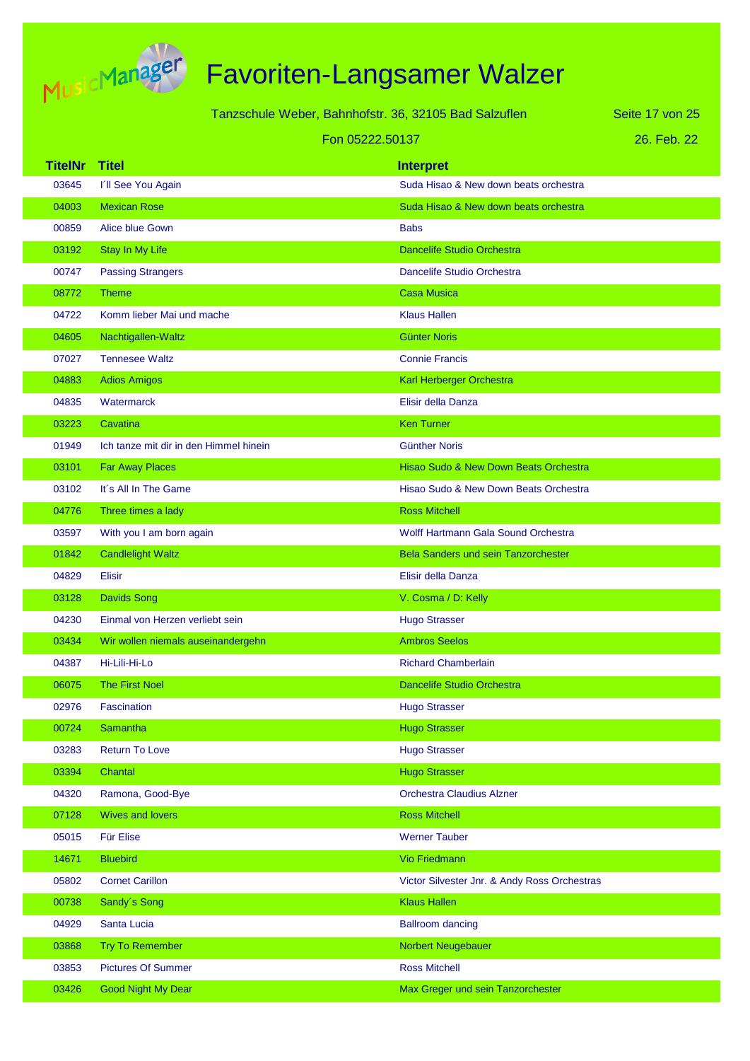

| Tanzschule Weber, Bahnhofstr. 36, 32105 Bad Salzuflen |  |
|-------------------------------------------------------|--|
|-------------------------------------------------------|--|

Fon 05222.50137

26. Feb. 22 Seite 17 von 25

| <b>TitelNr</b> | <b>Titel</b>                           | <b>Interpret</b>                             |
|----------------|----------------------------------------|----------------------------------------------|
| 03645          | I'll See You Again                     | Suda Hisao & New down beats orchestra        |
| 04003          | <b>Mexican Rose</b>                    | Suda Hisao & New down beats orchestra        |
| 00859          | Alice blue Gown                        | <b>Babs</b>                                  |
| 03192          | Stay In My Life                        | <b>Dancelife Studio Orchestra</b>            |
| 00747          | <b>Passing Strangers</b>               | Dancelife Studio Orchestra                   |
| 08772          | <b>Theme</b>                           | <b>Casa Musica</b>                           |
| 04722          | Komm lieber Mai und mache              | <b>Klaus Hallen</b>                          |
| 04605          | Nachtigallen-Waltz                     | <b>Günter Noris</b>                          |
| 07027          | <b>Tennesee Waltz</b>                  | <b>Connie Francis</b>                        |
| 04883          | <b>Adios Amigos</b>                    | Karl Herberger Orchestra                     |
| 04835          | <b>Watermarck</b>                      | Elisir della Danza                           |
| 03223          | Cavatina                               | <b>Ken Turner</b>                            |
| 01949          | Ich tanze mit dir in den Himmel hinein | <b>Günther Noris</b>                         |
| 03101          | <b>Far Away Places</b>                 | Hisao Sudo & New Down Beats Orchestra        |
| 03102          | It's All In The Game                   | Hisao Sudo & New Down Beats Orchestra        |
| 04776          | Three times a lady                     | <b>Ross Mitchell</b>                         |
| 03597          | With you I am born again               | <b>Wolff Hartmann Gala Sound Orchestra</b>   |
| 01842          | <b>Candlelight Waltz</b>               | <b>Bela Sanders und sein Tanzorchester</b>   |
| 04829          | <b>Elisir</b>                          | Elisir della Danza                           |
| 03128          | <b>Davids Song</b>                     | V. Cosma / D: Kelly                          |
| 04230          | Einmal von Herzen verliebt sein        | <b>Hugo Strasser</b>                         |
| 03434          | Wir wollen niemals auseinandergehn     | <b>Ambros Seelos</b>                         |
| 04387          | Hi-Lili-Hi-Lo                          | <b>Richard Chamberlain</b>                   |
| 06075          | <b>The First Noel</b>                  | <b>Dancelife Studio Orchestra</b>            |
| 02976          | Fascination                            | <b>Hugo Strasser</b>                         |
| 00724          | <b>Samantha</b>                        | <b>Hugo Strasser</b>                         |
| 03283          | <b>Return To Love</b>                  | <b>Hugo Strasser</b>                         |
| 03394          | Chantal                                | <b>Hugo Strasser</b>                         |
| 04320          | Ramona, Good-Bye                       | <b>Orchestra Claudius Alzner</b>             |
| 07128          | <b>Wives and lovers</b>                | <b>Ross Mitchell</b>                         |
| 05015          | Für Elise                              | <b>Werner Tauber</b>                         |
| 14671          | <b>Bluebird</b>                        | Vio Friedmann                                |
| 05802          | <b>Cornet Carillon</b>                 | Victor Silvester Jnr. & Andy Ross Orchestras |
| 00738          | Sandy's Song                           | <b>Klaus Hallen</b>                          |
| 04929          | Santa Lucia                            | <b>Ballroom dancing</b>                      |
| 03868          | <b>Try To Remember</b>                 | Norbert Neugebauer                           |
| 03853          | <b>Pictures Of Summer</b>              | <b>Ross Mitchell</b>                         |
| 03426          | <b>Good Night My Dear</b>              | Max Greger und sein Tanzorchester            |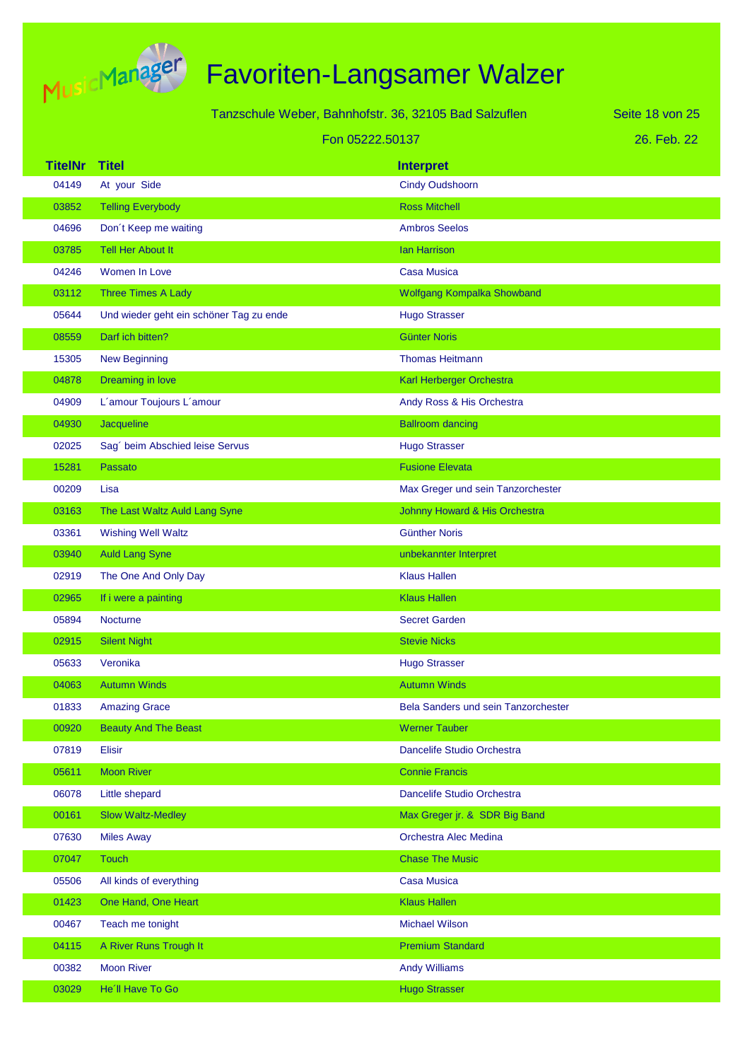

|                |                                         | Tanzschule Weber, Bahnhofstr. 36, 32105 Bad Salzuflen | Seite 18 von 25 |
|----------------|-----------------------------------------|-------------------------------------------------------|-----------------|
|                |                                         | Fon 05222.50137                                       | 26. Feb. 22     |
| <b>TitelNr</b> | <b>Titel</b>                            | <b>Interpret</b>                                      |                 |
| 04149          | At your Side                            | <b>Cindy Oudshoorn</b>                                |                 |
| 03852          | <b>Telling Everybody</b>                | <b>Ross Mitchell</b>                                  |                 |
| 04696          | Don't Keep me waiting                   | <b>Ambros Seelos</b>                                  |                 |
| 03785          | <b>Tell Her About It</b>                | <b>Ian Harrison</b>                                   |                 |
| 04246          | Women In Love                           | <b>Casa Musica</b>                                    |                 |
| 03112          | <b>Three Times A Lady</b>               | Wolfgang Kompalka Showband                            |                 |
| 05644          | Und wieder geht ein schöner Tag zu ende | <b>Hugo Strasser</b>                                  |                 |
| 08559          | Darf ich bitten?                        | <b>Günter Noris</b>                                   |                 |
| 15305          | <b>New Beginning</b>                    | <b>Thomas Heitmann</b>                                |                 |
| 04878          | Dreaming in love                        | Karl Herberger Orchestra                              |                 |
| 04909          | L'amour Toujours L'amour                | Andy Ross & His Orchestra                             |                 |
| 04930          | Jacqueline                              | <b>Ballroom dancing</b>                               |                 |
| 02025          | Sag' beim Abschied leise Servus         | <b>Hugo Strasser</b>                                  |                 |
| 15281          | Passato                                 | <b>Fusione Elevata</b>                                |                 |
| 00209          | Lisa                                    | Max Greger und sein Tanzorchester                     |                 |
| 03163          | The Last Waltz Auld Lang Syne           | Johnny Howard & His Orchestra                         |                 |
| 03361          | <b>Wishing Well Waltz</b>               | <b>Günther Noris</b>                                  |                 |
| 03940          | <b>Auld Lang Syne</b>                   | unbekannter Interpret                                 |                 |
| 02919          | The One And Only Day                    | <b>Klaus Hallen</b>                                   |                 |
| 02965          | If i were a painting                    | <b>Klaus Hallen</b>                                   |                 |
| 05894          | Nocturne                                | <b>Secret Garden</b>                                  |                 |
| 02915          | <b>Silent Night</b>                     | <b>Stevie Nicks</b>                                   |                 |
| 05633          | Veronika                                | <b>Hugo Strasser</b>                                  |                 |
| 04063          | <b>Autumn Winds</b>                     | <b>Autumn Winds</b>                                   |                 |
| 01833          | <b>Amazing Grace</b>                    | Bela Sanders und sein Tanzorchester                   |                 |
| 00920          | <b>Beauty And The Beast</b>             | <b>Werner Tauber</b>                                  |                 |
| 07819          | Elisir                                  | Dancelife Studio Orchestra                            |                 |
| 05611          | <b>Moon River</b>                       | <b>Connie Francis</b>                                 |                 |
| 06078          | Little shepard                          | Dancelife Studio Orchestra                            |                 |
| 00161          | <b>Slow Waltz-Medley</b>                | Max Greger jr. & SDR Big Band                         |                 |
| 07630          | <b>Miles Away</b>                       | Orchestra Alec Medina                                 |                 |
| 07047          | <b>Touch</b>                            | <b>Chase The Music</b>                                |                 |
| 05506          | All kinds of everything                 | <b>Casa Musica</b>                                    |                 |
| 01423          | One Hand, One Heart                     | <b>Klaus Hallen</b>                                   |                 |
| 00467          | Teach me tonight                        | <b>Michael Wilson</b>                                 |                 |
| 04115          | A River Runs Trough It                  | <b>Premium Standard</b>                               |                 |
| 00382          | <b>Moon River</b>                       | <b>Andy Williams</b>                                  |                 |
| 03029          | He'll Have To Go                        | <b>Hugo Strasser</b>                                  |                 |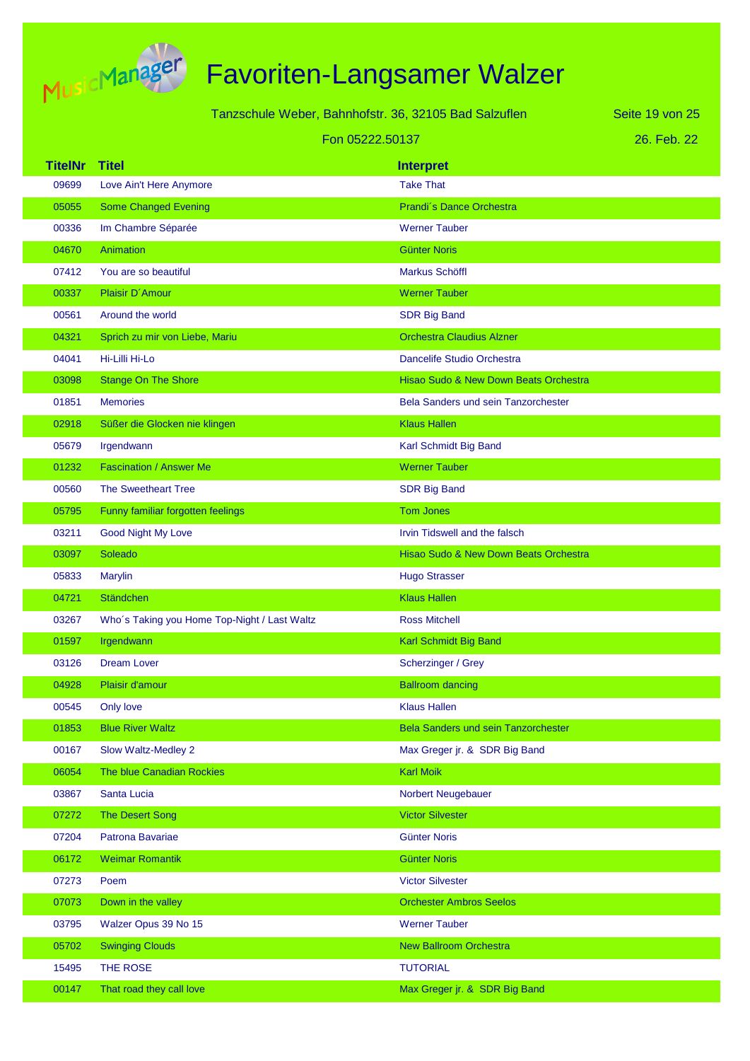

|                | Tanzschule Weber, Bahnhofstr. 36, 32105 Bad Salzuflen |                                            | Seite 19 von 25 |
|----------------|-------------------------------------------------------|--------------------------------------------|-----------------|
|                |                                                       | Fon 05222.50137                            | 26. Feb. 22     |
| <b>TitelNr</b> | <b>Titel</b>                                          | <b>Interpret</b>                           |                 |
| 09699          | Love Ain't Here Anymore                               | <b>Take That</b>                           |                 |
| 05055          | <b>Some Changed Evening</b>                           | Prandi's Dance Orchestra                   |                 |
| 00336          | Im Chambre Séparée                                    | <b>Werner Tauber</b>                       |                 |
| 04670          | Animation                                             | <b>Günter Noris</b>                        |                 |
| 07412          | You are so beautiful                                  | Markus Schöffl                             |                 |
| 00337          | Plaisir D'Amour                                       | <b>Werner Tauber</b>                       |                 |
| 00561          | Around the world                                      | <b>SDR Big Band</b>                        |                 |
| 04321          | Sprich zu mir von Liebe, Mariu                        | <b>Orchestra Claudius Alzner</b>           |                 |
| 04041          | Hi-Lilli Hi-Lo                                        | Dancelife Studio Orchestra                 |                 |
| 03098          | <b>Stange On The Shore</b>                            | Hisao Sudo & New Down Beats Orchestra      |                 |
| 01851          | <b>Memories</b>                                       | <b>Bela Sanders und sein Tanzorchester</b> |                 |
| 02918          | Süßer die Glocken nie klingen                         | <b>Klaus Hallen</b>                        |                 |
| 05679          | Irgendwann                                            | Karl Schmidt Big Band                      |                 |
| 01232          | <b>Fascination / Answer Me</b>                        | <b>Werner Tauber</b>                       |                 |
| 00560          | <b>The Sweetheart Tree</b>                            | <b>SDR Big Band</b>                        |                 |
| 05795          | Funny familiar forgotten feelings                     | <b>Tom Jones</b>                           |                 |
| 03211          | <b>Good Night My Love</b>                             | Irvin Tidswell and the falsch              |                 |
| 03097          | Soleado                                               | Hisao Sudo & New Down Beats Orchestra      |                 |
| 05833          | Marylin                                               | <b>Hugo Strasser</b>                       |                 |
| 04721          | <b>Ständchen</b>                                      | <b>Klaus Hallen</b>                        |                 |
| 03267          | Who's Taking you Home Top-Night / Last Waltz          | <b>Ross Mitchell</b>                       |                 |
| 01597          | Irgendwann                                            | Karl Schmidt Big Band                      |                 |
| 03126          | <b>Dream Lover</b>                                    | Scherzinger / Grey                         |                 |
| 04928          | Plaisir d'amour                                       | <b>Ballroom dancing</b>                    |                 |
| 00545          | Only love                                             | <b>Klaus Hallen</b>                        |                 |
| 01853          | <b>Blue River Waltz</b>                               | Bela Sanders und sein Tanzorchester        |                 |
| 00167          | Slow Waltz-Medley 2                                   | Max Greger jr. & SDR Big Band              |                 |
| 06054          | The blue Canadian Rockies                             | <b>Karl Moik</b>                           |                 |
| 03867          | Santa Lucia                                           | Norbert Neugebauer                         |                 |
| 07272          | <b>The Desert Song</b>                                | <b>Victor Silvester</b>                    |                 |
| 07204          | Patrona Bavariae                                      | <b>Günter Noris</b>                        |                 |
| 06172          | <b>Weimar Romantik</b>                                | <b>Günter Noris</b>                        |                 |
| 07273          | Poem                                                  | <b>Victor Silvester</b>                    |                 |
| 07073          | Down in the valley                                    | <b>Orchester Ambros Seelos</b>             |                 |
| 03795          | Walzer Opus 39 No 15                                  | <b>Werner Tauber</b>                       |                 |
| 05702          | <b>Swinging Clouds</b>                                | <b>New Ballroom Orchestra</b>              |                 |
| 15495          | THE ROSE                                              | <b>TUTORIAL</b>                            |                 |
| 00147          | That road they call love                              | Max Greger jr. & SDR Big Band              |                 |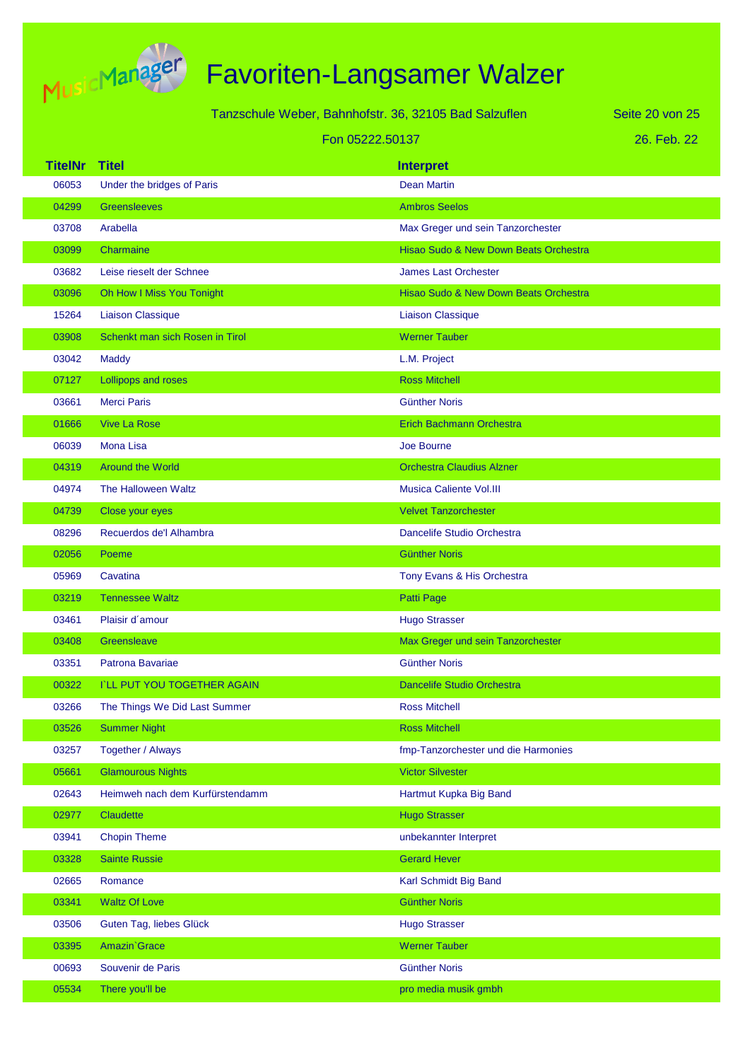

#### Tanzschule Weber, Bahnhofstr. 36, 32105 Bad Salzuflen Fon 05222.50137

26. Feb. 22 Seite 20 von 25

| <b>TitelNr</b> | <b>Titel</b>                       | <b>Interpret</b>                      |
|----------------|------------------------------------|---------------------------------------|
| 06053          | Under the bridges of Paris         | <b>Dean Martin</b>                    |
| 04299          | <b>Greensleeves</b>                | <b>Ambros Seelos</b>                  |
| 03708          | Arabella                           | Max Greger und sein Tanzorchester     |
| 03099          | Charmaine                          | Hisao Sudo & New Down Beats Orchestra |
| 03682          | Leise rieselt der Schnee           | <b>James Last Orchester</b>           |
| 03096          | Oh How I Miss You Tonight          | Hisao Sudo & New Down Beats Orchestra |
| 15264          | <b>Liaison Classique</b>           | <b>Liaison Classique</b>              |
| 03908          | Schenkt man sich Rosen in Tirol    | <b>Werner Tauber</b>                  |
| 03042          | <b>Maddy</b>                       | L.M. Project                          |
| 07127          | Lollipops and roses                | <b>Ross Mitchell</b>                  |
| 03661          | <b>Merci Paris</b>                 | <b>Günther Noris</b>                  |
| 01666          | <b>Vive La Rose</b>                | <b>Erich Bachmann Orchestra</b>       |
| 06039          | <b>Mona Lisa</b>                   | Joe Bourne                            |
| 04319          | <b>Around the World</b>            | <b>Orchestra Claudius Alzner</b>      |
| 04974          | The Halloween Waltz                | <b>Musica Caliente Vol.III</b>        |
| 04739          | Close your eyes                    | <b>Velvet Tanzorchester</b>           |
| 08296          | Recuerdos de'l Alhambra            | Dancelife Studio Orchestra            |
| 02056          | Poeme                              | <b>Günther Noris</b>                  |
| 05969          | Cavatina                           | Tony Evans & His Orchestra            |
| 03219          | <b>Tennessee Waltz</b>             | Patti Page                            |
| 03461          | Plaisir d'amour                    | <b>Hugo Strasser</b>                  |
| 03408          | Greensleave                        | Max Greger und sein Tanzorchester     |
| 03351          | Patrona Bavariae                   | <b>Günther Noris</b>                  |
| 00322          | <b>I'LL PUT YOU TOGETHER AGAIN</b> | <b>Dancelife Studio Orchestra</b>     |
| 03266          | The Things We Did Last Summer      | <b>Ross Mitchell</b>                  |
| 03526          | <b>Summer Night</b>                | <b>Ross Mitchell</b>                  |
| 03257          | Together / Always                  | fmp-Tanzorchester und die Harmonies   |
| 05661          | <b>Glamourous Nights</b>           | <b>Victor Silvester</b>               |
| 02643          | Heimweh nach dem Kurfürstendamm    | Hartmut Kupka Big Band                |
| 02977          | Claudette                          | <b>Hugo Strasser</b>                  |
| 03941          | <b>Chopin Theme</b>                | unbekannter Interpret                 |
| 03328          | <b>Sainte Russie</b>               | <b>Gerard Hever</b>                   |
| 02665          | Romance                            | Karl Schmidt Big Band                 |
| 03341          | <b>Waltz Of Love</b>               | <b>Günther Noris</b>                  |
| 03506          | Guten Tag, liebes Glück            | <b>Hugo Strasser</b>                  |
| 03395          | Amazin' Grace                      | <b>Werner Tauber</b>                  |
| 00693          | Souvenir de Paris                  | <b>Günther Noris</b>                  |
| 05534          | There you'll be                    | pro media musik gmbh                  |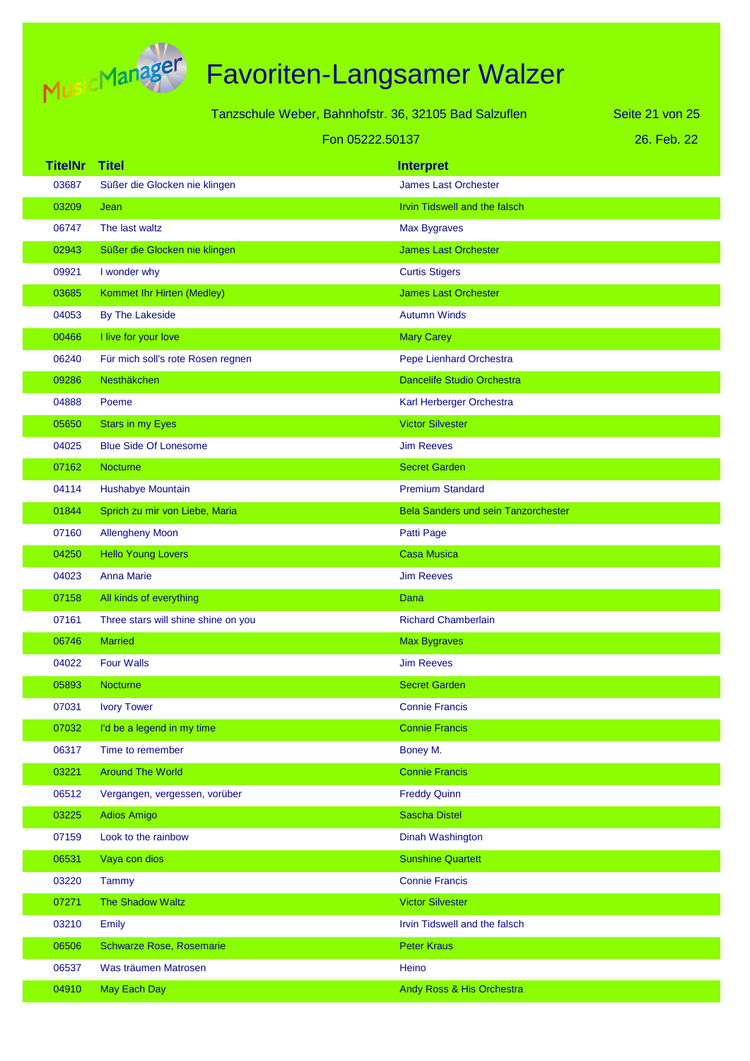

|                |                                     | Tanzschule Weber, Bahnhofstr. 36, 32105 Bad Salzuflen | Seite 21 von 25 |
|----------------|-------------------------------------|-------------------------------------------------------|-----------------|
|                |                                     | Fon 05222.50137                                       | 26. Feb. 22     |
| <b>TitelNr</b> | <b>Titel</b>                        | <b>Interpret</b>                                      |                 |
| 03687          | Süßer die Glocken nie klingen       | <b>James Last Orchester</b>                           |                 |
| 03209          | Jean                                | Irvin Tidswell and the falsch                         |                 |
| 06747          | The last waltz                      | <b>Max Bygraves</b>                                   |                 |
| 02943          | Süßer die Glocken nie klingen       | <b>James Last Orchester</b>                           |                 |
| 09921          | I wonder why                        | <b>Curtis Stigers</b>                                 |                 |
| 03685          | Kommet Ihr Hirten (Medley)          | <b>James Last Orchester</b>                           |                 |
| 04053          | By The Lakeside                     | <b>Autumn Winds</b>                                   |                 |
| 00466          | I live for your love                | <b>Mary Carey</b>                                     |                 |
| 06240          | Für mich soll's rote Rosen regnen   | Pepe Lienhard Orchestra                               |                 |
| 09286          | Nesthäkchen                         | <b>Dancelife Studio Orchestra</b>                     |                 |
| 04888          | Poeme                               | Karl Herberger Orchestra                              |                 |
| 05650          | <b>Stars in my Eyes</b>             | <b>Victor Silvester</b>                               |                 |
| 04025          | <b>Blue Side Of Lonesome</b>        | <b>Jim Reeves</b>                                     |                 |
| 07162          | Nocturne                            | <b>Secret Garden</b>                                  |                 |
| 04114          | Hushabye Mountain                   | <b>Premium Standard</b>                               |                 |
| 01844          | Sprich zu mir von Liebe, Maria      | <b>Bela Sanders und sein Tanzorchester</b>            |                 |
| 07160          | <b>Allengheny Moon</b>              | Patti Page                                            |                 |
| 04250          | <b>Hello Young Lovers</b>           | <b>Casa Musica</b>                                    |                 |
| 04023          | <b>Anna Marie</b>                   | <b>Jim Reeves</b>                                     |                 |
| 07158          | All kinds of everything             | Dana                                                  |                 |
| 07161          | Three stars will shine shine on you | <b>Richard Chamberlain</b>                            |                 |
| 06746          | <b>Married</b>                      | <b>Max Bygraves</b>                                   |                 |
| 04022          | <b>Four Walls</b>                   | <b>Jim Reeves</b>                                     |                 |
| 05893          | Nocturne                            | <b>Secret Garden</b>                                  |                 |
| 07031          | <b>Ivory Tower</b>                  | <b>Connie Francis</b>                                 |                 |
| 07032          | I'd be a legend in my time          | <b>Connie Francis</b>                                 |                 |
| 06317          | Time to remember                    | Boney M.                                              |                 |
| 03221          | <b>Around The World</b>             | <b>Connie Francis</b>                                 |                 |
| 06512          | Vergangen, vergessen, vorüber       | <b>Freddy Quinn</b>                                   |                 |
| 03225          | <b>Adios Amigo</b>                  | <b>Sascha Distel</b>                                  |                 |
| 07159          | Look to the rainbow                 | Dinah Washington                                      |                 |
| 06531          | Vaya con dios                       | <b>Sunshine Quartett</b>                              |                 |
| 03220          | Tammy                               | <b>Connie Francis</b>                                 |                 |
| 07271          | The Shadow Waltz                    | <b>Victor Silvester</b>                               |                 |
| 03210          | Emily                               | Irvin Tidswell and the falsch                         |                 |
| 06506          | Schwarze Rose, Rosemarie            | <b>Peter Kraus</b>                                    |                 |
| 06537          | Was träumen Matrosen                | Heino                                                 |                 |
| 04910          | May Each Day                        | Andy Ross & His Orchestra                             |                 |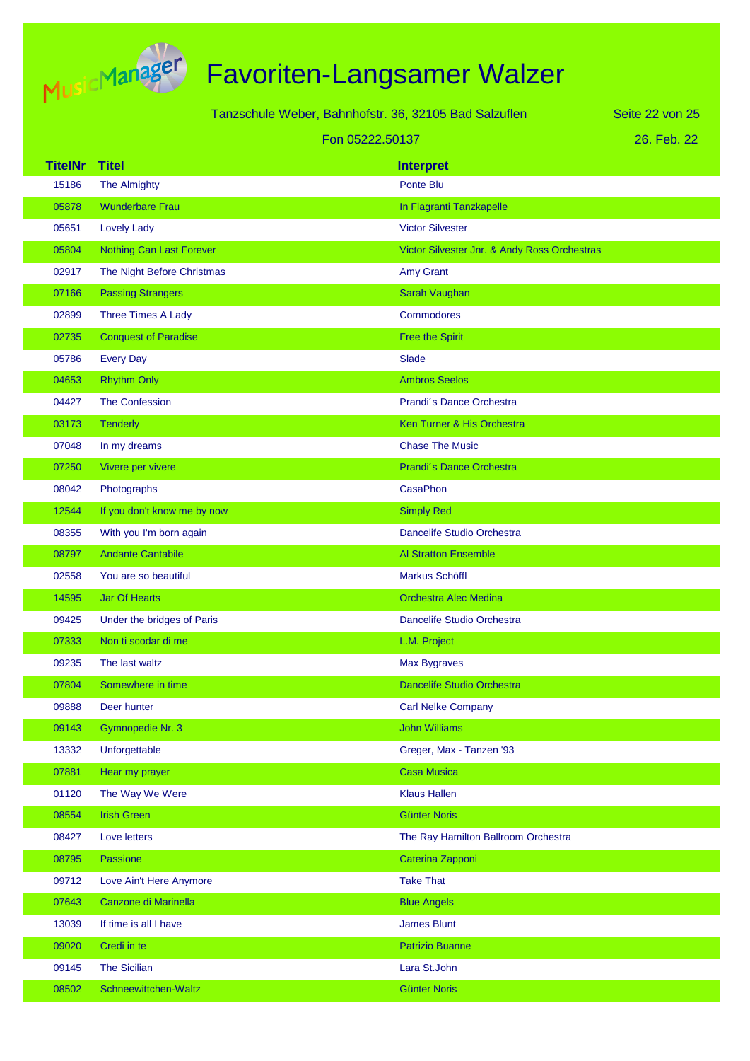

|                |                                 | Tanzschule Weber, Bahnhofstr. 36, 32105 Bad Salzuflen | Seite 22 von 25 |
|----------------|---------------------------------|-------------------------------------------------------|-----------------|
|                | Fon 05222.50137                 |                                                       | 26. Feb. 22     |
| <b>TitelNr</b> | <b>Titel</b>                    | <b>Interpret</b>                                      |                 |
| 15186          | The Almighty                    | Ponte Blu                                             |                 |
| 05878          | <b>Wunderbare Frau</b>          | In Flagranti Tanzkapelle                              |                 |
| 05651          | <b>Lovely Lady</b>              | <b>Victor Silvester</b>                               |                 |
| 05804          | <b>Nothing Can Last Forever</b> | Victor Silvester Jnr. & Andy Ross Orchestras          |                 |
| 02917          | The Night Before Christmas      | Amy Grant                                             |                 |
| 07166          | <b>Passing Strangers</b>        | Sarah Vaughan                                         |                 |
| 02899          | <b>Three Times A Lady</b>       | <b>Commodores</b>                                     |                 |
| 02735          | <b>Conquest of Paradise</b>     | <b>Free the Spirit</b>                                |                 |
| 05786          | <b>Every Day</b>                | Slade                                                 |                 |
| 04653          | <b>Rhythm Only</b>              | <b>Ambros Seelos</b>                                  |                 |
| 04427          | <b>The Confession</b>           | Prandi's Dance Orchestra                              |                 |
| 03173          | Tenderly                        | Ken Turner & His Orchestra                            |                 |
| 07048          | In my dreams                    | <b>Chase The Music</b>                                |                 |
| 07250          | Vivere per vivere               | Prandi's Dance Orchestra                              |                 |
| 08042          | Photographs                     | <b>CasaPhon</b>                                       |                 |
| 12544          | If you don't know me by now     | <b>Simply Red</b>                                     |                 |
| 08355          | With you I'm born again         | Dancelife Studio Orchestra                            |                 |
| 08797          | <b>Andante Cantabile</b>        | <b>Al Stratton Ensemble</b>                           |                 |
| 02558          | You are so beautiful            | Markus Schöffl                                        |                 |
| 14595          | <b>Jar Of Hearts</b>            | <b>Orchestra Alec Medina</b>                          |                 |
| 09425          | Under the bridges of Paris      | Dancelife Studio Orchestra                            |                 |
| 07333          | Non ti scodar di me             | L.M. Project                                          |                 |
| 09235          | The last waltz                  | <b>Max Bygraves</b>                                   |                 |
| 07804          | Somewhere in time               | Dancelife Studio Orchestra                            |                 |
| 09888          | Deer hunter                     | <b>Carl Nelke Company</b>                             |                 |
| 09143          | Gymnopedie Nr. 3                | <b>John Williams</b>                                  |                 |
| 13332          | Unforgettable                   | Greger, Max - Tanzen '93                              |                 |
| 07881          | Hear my prayer                  | <b>Casa Musica</b>                                    |                 |
| 01120          | The Way We Were                 | <b>Klaus Hallen</b>                                   |                 |
| 08554          | <b>Irish Green</b>              | <b>Günter Noris</b>                                   |                 |
| 08427          | Love letters                    | The Ray Hamilton Ballroom Orchestra                   |                 |
| 08795          | Passione                        | Caterina Zapponi                                      |                 |
| 09712          | Love Ain't Here Anymore         | <b>Take That</b>                                      |                 |
| 07643          | Canzone di Marinella            | <b>Blue Angels</b>                                    |                 |
| 13039          | If time is all I have           | <b>James Blunt</b>                                    |                 |
| 09020          | Credi in te                     | <b>Patrizio Buanne</b>                                |                 |
| 09145          | <b>The Sicilian</b>             | Lara St.John                                          |                 |
| 08502          | Schneewittchen-Waltz            | <b>Günter Noris</b>                                   |                 |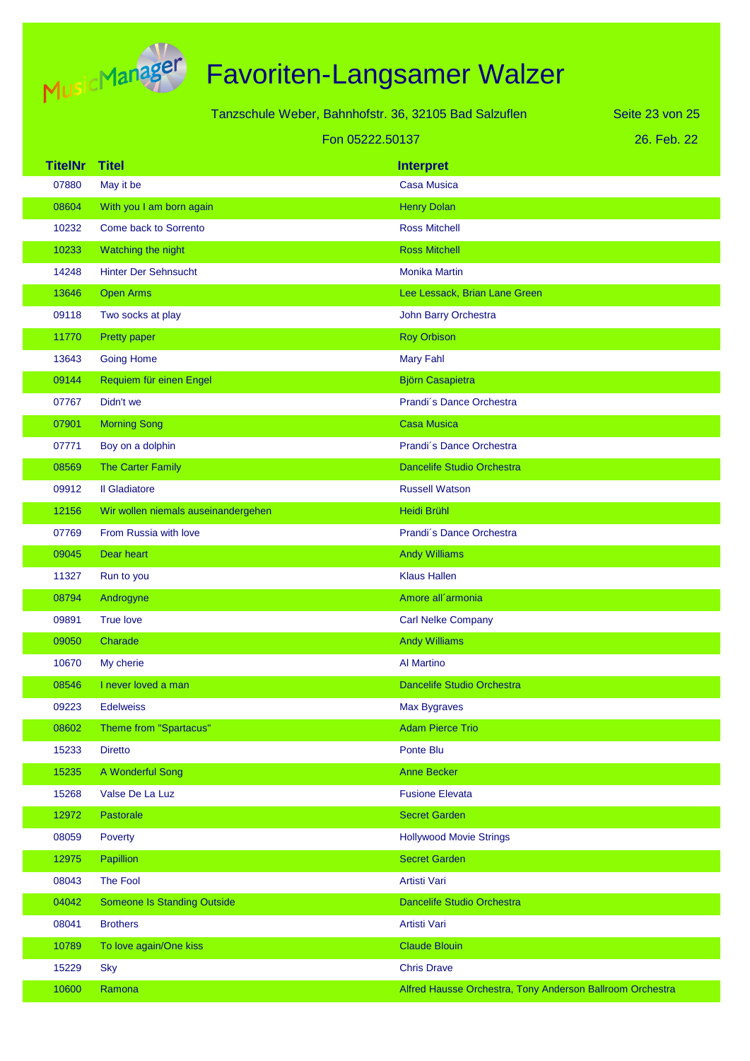

| Tanzschule Weber, Bahnhofstr. 36, 32105 Bad Salzuflen |                                     |                                                           | Seite 23 von 25 |
|-------------------------------------------------------|-------------------------------------|-----------------------------------------------------------|-----------------|
|                                                       | Fon 05222.50137                     |                                                           | 26. Feb. 22     |
| <b>TitelNr</b>                                        | <b>Titel</b>                        | <b>Interpret</b>                                          |                 |
| 07880                                                 | May it be                           | <b>Casa Musica</b>                                        |                 |
| 08604                                                 | With you I am born again            | <b>Henry Dolan</b>                                        |                 |
| 10232                                                 | Come back to Sorrento               | <b>Ross Mitchell</b>                                      |                 |
| 10233                                                 | Watching the night                  | <b>Ross Mitchell</b>                                      |                 |
| 14248                                                 | <b>Hinter Der Sehnsucht</b>         | <b>Monika Martin</b>                                      |                 |
| 13646                                                 | <b>Open Arms</b>                    | Lee Lessack, Brian Lane Green                             |                 |
| 09118                                                 | Two socks at play                   | John Barry Orchestra                                      |                 |
| 11770                                                 | Pretty paper                        | <b>Roy Orbison</b>                                        |                 |
| 13643                                                 | <b>Going Home</b>                   | <b>Mary Fahl</b>                                          |                 |
| 09144                                                 | Requiem für einen Engel             | <b>Björn Casapietra</b>                                   |                 |
| 07767                                                 | Didn't we                           | Prandi's Dance Orchestra                                  |                 |
| 07901                                                 | <b>Morning Song</b>                 | <b>Casa Musica</b>                                        |                 |
| 07771                                                 | Boy on a dolphin                    | Prandi's Dance Orchestra                                  |                 |
| 08569                                                 | The Carter Family                   | <b>Dancelife Studio Orchestra</b>                         |                 |
| 09912                                                 | <b>Il Gladiatore</b>                | <b>Russell Watson</b>                                     |                 |
| 12156                                                 | Wir wollen niemals auseinandergehen | Heidi Brühl                                               |                 |
| 07769                                                 | From Russia with love               | Prandi's Dance Orchestra                                  |                 |
| 09045                                                 | Dear heart                          | <b>Andy Williams</b>                                      |                 |
| 11327                                                 | Run to you                          | <b>Klaus Hallen</b>                                       |                 |
| 08794                                                 | Androgyne                           | Amore all'armonia                                         |                 |
| 09891                                                 | <b>True love</b>                    | <b>Carl Nelke Company</b>                                 |                 |
| 09050                                                 | Charade                             | <b>Andy Williams</b>                                      |                 |
| 10670                                                 | My cherie                           | <b>Al Martino</b>                                         |                 |
| 08546                                                 | I never loved a man                 | Dancelife Studio Orchestra                                |                 |
| 09223                                                 | <b>Edelweiss</b>                    | <b>Max Bygraves</b>                                       |                 |
| 08602                                                 | Theme from "Spartacus"              | <b>Adam Pierce Trio</b>                                   |                 |
| 15233                                                 | <b>Diretto</b>                      | Ponte Blu                                                 |                 |
| 15235                                                 | A Wonderful Song                    | <b>Anne Becker</b>                                        |                 |
| 15268                                                 | Valse De La Luz                     | <b>Fusione Elevata</b>                                    |                 |
| 12972                                                 | Pastorale                           | <b>Secret Garden</b>                                      |                 |
| 08059                                                 | Poverty                             | <b>Hollywood Movie Strings</b>                            |                 |
| 12975                                                 | Papillion                           | <b>Secret Garden</b>                                      |                 |
| 08043                                                 | The Fool                            | Artisti Vari                                              |                 |
| 04042                                                 | <b>Someone Is Standing Outside</b>  | <b>Dancelife Studio Orchestra</b>                         |                 |
| 08041                                                 | <b>Brothers</b>                     | Artisti Vari                                              |                 |
| 10789                                                 | To love again/One kiss              | <b>Claude Blouin</b>                                      |                 |
| 15229                                                 | <b>Sky</b>                          | <b>Chris Drave</b>                                        |                 |
| 10600                                                 | Ramona                              | Alfred Hausse Orchestra, Tony Anderson Ballroom Orchestra |                 |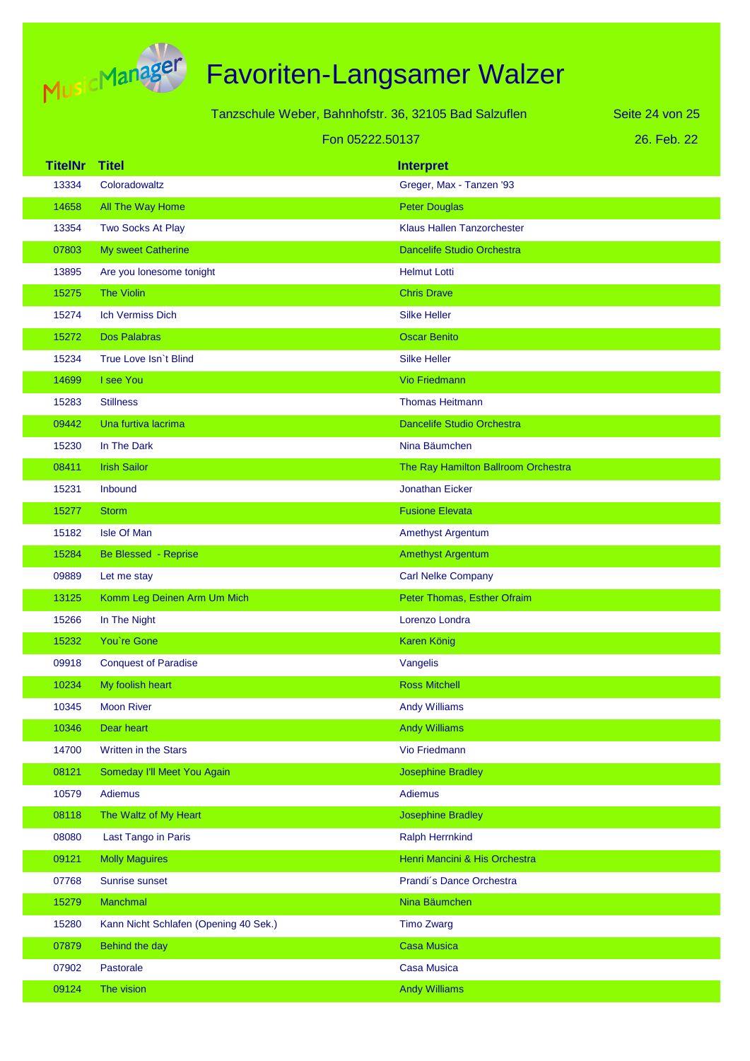

|                |                                       | Tanzschule Weber, Bahnhofstr. 36, 32105 Bad Salzuflen | Seite 24 von 25 |
|----------------|---------------------------------------|-------------------------------------------------------|-----------------|
|                |                                       | Fon 05222.50137                                       | 26. Feb. 22     |
| <b>TitelNr</b> | <b>Titel</b>                          | <b>Interpret</b>                                      |                 |
| 13334          | Coloradowaltz                         | Greger, Max - Tanzen '93                              |                 |
| 14658          | All The Way Home                      | <b>Peter Douglas</b>                                  |                 |
| 13354          | Two Socks At Play                     | <b>Klaus Hallen Tanzorchester</b>                     |                 |
| 07803          | My sweet Catherine                    | <b>Dancelife Studio Orchestra</b>                     |                 |
| 13895          | Are you lonesome tonight              | <b>Helmut Lotti</b>                                   |                 |
| 15275          | <b>The Violin</b>                     | <b>Chris Drave</b>                                    |                 |
| 15274          | <b>Ich Vermiss Dich</b>               | <b>Silke Heller</b>                                   |                 |
| 15272          | <b>Dos Palabras</b>                   | <b>Oscar Benito</b>                                   |                 |
| 15234          | True Love Isn't Blind                 | <b>Silke Heller</b>                                   |                 |
| 14699          | I see You                             | <b>Vio Friedmann</b>                                  |                 |
| 15283          | <b>Stillness</b>                      | <b>Thomas Heitmann</b>                                |                 |
| 09442          | Una furtiva lacrima                   | <b>Dancelife Studio Orchestra</b>                     |                 |
| 15230          | In The Dark                           | Nina Bäumchen                                         |                 |
| 08411          | <b>Irish Sailor</b>                   | The Ray Hamilton Ballroom Orchestra                   |                 |
| 15231          | Inbound                               | <b>Jonathan Eicker</b>                                |                 |
| 15277          | <b>Storm</b>                          | <b>Fusione Elevata</b>                                |                 |
| 15182          | <b>Isle Of Man</b>                    | <b>Amethyst Argentum</b>                              |                 |
| 15284          | Be Blessed - Reprise                  | <b>Amethyst Argentum</b>                              |                 |
| 09889          | Let me stay                           | <b>Carl Nelke Company</b>                             |                 |
| 13125          | Komm Leg Deinen Arm Um Mich           | Peter Thomas, Esther Ofraim                           |                 |
| 15266          | In The Night                          | Lorenzo Londra                                        |                 |
| 15232          | You're Gone                           | <b>Karen König</b>                                    |                 |
| 09918          | <b>Conquest of Paradise</b>           | Vangelis                                              |                 |
| 10234          | My foolish heart                      | <b>Ross Mitchell</b>                                  |                 |
| 10345          | <b>Moon River</b>                     | <b>Andy Williams</b>                                  |                 |
| 10346          | Dear heart                            | <b>Andy Williams</b>                                  |                 |
| 14700          | Written in the Stars                  | Vio Friedmann                                         |                 |
| 08121          | Someday I'll Meet You Again           | <b>Josephine Bradley</b>                              |                 |
| 10579          | <b>Adiemus</b>                        | <b>Adiemus</b>                                        |                 |
| 08118          | The Waltz of My Heart                 | <b>Josephine Bradley</b>                              |                 |
| 08080          | Last Tango in Paris                   | <b>Ralph Herrnkind</b>                                |                 |
| 09121          | <b>Molly Maguires</b>                 | Henri Mancini & His Orchestra                         |                 |
| 07768          | Sunrise sunset                        | Prandi's Dance Orchestra                              |                 |
| 15279          | Manchmal                              | Nina Bäumchen                                         |                 |
| 15280          | Kann Nicht Schlafen (Opening 40 Sek.) | <b>Timo Zwarg</b>                                     |                 |
| 07879          | Behind the day                        | <b>Casa Musica</b>                                    |                 |
| 07902          | Pastorale                             | <b>Casa Musica</b>                                    |                 |
| 09124          | The vision                            | <b>Andy Williams</b>                                  |                 |